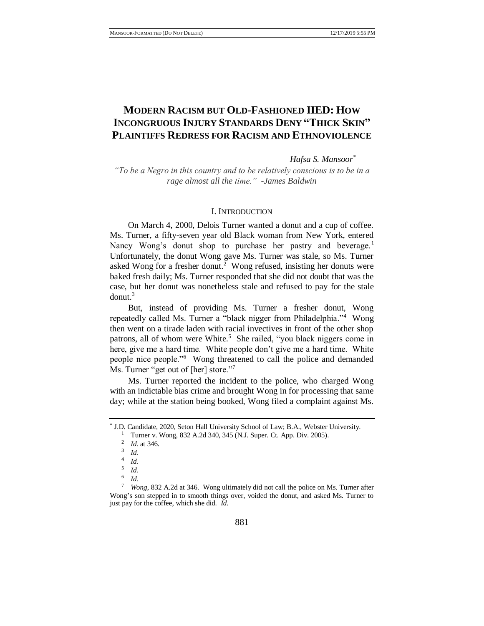# **MODERN RACISM BUT OLD-FASHIONED IIED: HOW INCONGRUOUS INJURY STANDARDS DENY "THICK SKIN" PLAINTIFFS REDRESS FOR RACISM AND ETHNOVIOLENCE**

<span id="page-0-0"></span>*Hafsa S. Mansoor\**

*"To be a Negro in this country and to be relatively conscious is to be in a rage almost all the time." -James Baldwin*

### I. INTRODUCTION

On March 4, 2000, Delois Turner wanted a donut and a cup of coffee. Ms. Turner, a fifty-seven year old Black woman from New York, entered Nancy Wong's donut shop to purchase her pastry and beverage.<sup>1</sup> Unfortunately, the donut Wong gave Ms. Turner was stale, so Ms. Turner asked Wong for a fresher donut.<sup>2</sup> Wong refused, insisting her donuts were baked fresh daily; Ms. Turner responded that she did not doubt that was the case, but her donut was nonetheless stale and refused to pay for the stale  $domut^3$ 

But, instead of providing Ms. Turner a fresher donut, Wong repeatedly called Ms. Turner a "black nigger from Philadelphia."<sup>4</sup> Wong then went on a tirade laden with racial invectives in front of the other shop patrons, all of whom were White.<sup>5</sup> She railed, "you black niggers come in here, give me a hard time. White people don't give me a hard time. White people nice people."<sup>6</sup> Wong threatened to call the police and demanded Ms. Turner "get out of [her] store."<sup>7</sup>

Ms. Turner reported the incident to the police, who charged Wong with an indictable bias crime and brought Wong in for processing that same day; while at the station being booked, Wong filed a complaint against Ms.

<sup>\*</sup> J.D. Candidate, 2020, Seton Hall University School of Law; B.A., Webster University.

<sup>&</sup>lt;sup>1</sup> Turner v. Wong, 832 A.2d 340, 345 (N.J. Super. Ct. App. Div. 2005).

<sup>2</sup> *Id.* at 346.

<sup>3</sup> *Id.*

<sup>4</sup> *Id.*

<sup>5</sup> *Id.*

<sup>6</sup> *Id.*

*Wong*, 832 A.2d at 346. Wong ultimately did not call the police on Ms. Turner after Wong's son stepped in to smooth things over, voided the donut, and asked Ms. Turner to just pay for the coffee, which she did. *Id.*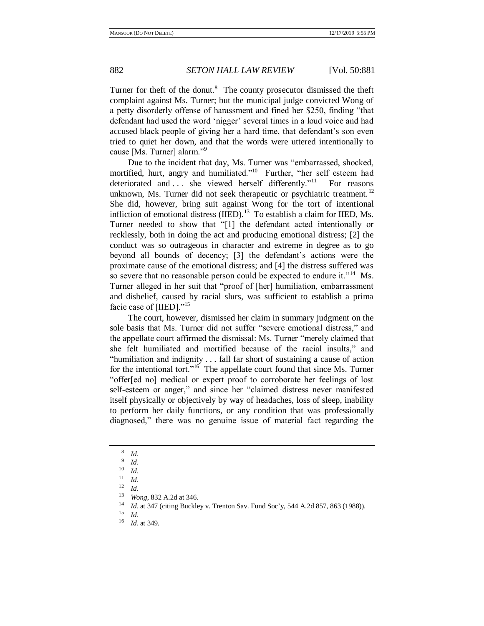Turner for theft of the donut. $8$  The county prosecutor dismissed the theft complaint against Ms. Turner; but the municipal judge convicted Wong of a petty disorderly offense of harassment and fined her \$250, finding "that defendant had used the word 'nigger' several times in a loud voice and had accused black people of giving her a hard time, that defendant's son even tried to quiet her down, and that the words were uttered intentionally to cause [Ms. Turner] alarm."<sup>9</sup>

<span id="page-1-4"></span><span id="page-1-3"></span><span id="page-1-1"></span><span id="page-1-0"></span>Due to the incident that day, Ms. Turner was "embarrassed, shocked, mortified, hurt, angry and humiliated."<sup>10</sup> Further, "her self esteem had deteriorated and . . . she viewed herself differently."<sup>11</sup> For reasons unknown, Ms. Turner did not seek therapeutic or psychiatric treatment.<sup>12</sup> She did, however, bring suit against Wong for the tort of intentional infliction of emotional distress  $(IIED)$ .<sup>13</sup> To establish a claim for IIED, Ms. Turner needed to show that "[1] the defendant acted intentionally or recklessly, both in doing the act and producing emotional distress; [2] the conduct was so outrageous in character and extreme in degree as to go beyond all bounds of decency; [3] the defendant's actions were the proximate cause of the emotional distress; and [4] the distress suffered was so severe that no reasonable person could be expected to endure it."<sup>14</sup> Ms. Turner alleged in her suit that "proof of [her] humiliation, embarrassment and disbelief, caused by racial slurs, was sufficient to establish a prima facie case of [IIED]."<sup>15</sup>

<span id="page-1-2"></span>The court, however, dismissed her claim in summary judgment on the sole basis that Ms. Turner did not suffer "severe emotional distress," and the appellate court affirmed the dismissal: Ms. Turner "merely claimed that she felt humiliated and mortified because of the racial insults," and "humiliation and indignity . . . fall far short of sustaining a cause of action for the intentional tort."<sup>16</sup> The appellate court found that since Ms. Turner "offer[ed no] medical or expert proof to corroborate her feelings of lost self-esteem or anger," and since her "claimed distress never manifested itself physically or objectively by way of headaches, loss of sleep, inability to perform her daily functions, or any condition that was professionally diagnosed," there was no genuine issue of material fact regarding the

<sup>8</sup> *Id.*

<sup>9</sup> *Id.*

 $\frac{10}{11}$  *Id.* 

 $\frac{11}{12}$  *Id.* 

 $\frac{12}{13}$  *Id.* 

<sup>&</sup>lt;sup>13</sup> *Wong*, 832 A.2d at 346.

<sup>&</sup>lt;sup>14</sup> *Id.* at 347 (citing Buckley v. Trenton Sav. Fund Soc'y, 544 A.2d 857, 863 (1988)).

 $\frac{15}{16}$  *Id.* 

<sup>16</sup> *Id.* at 349.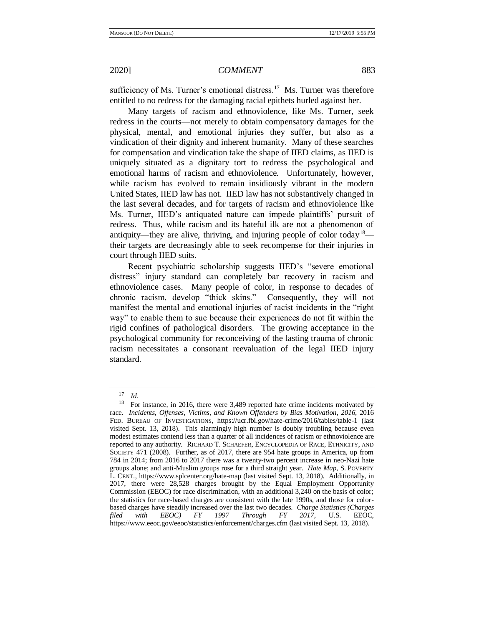sufficiency of Ms. Turner's emotional distress.<sup>17</sup> Ms. Turner was therefore entitled to no redress for the damaging racial epithets hurled against her.

Many targets of racism and ethnoviolence, like Ms. Turner, seek redress in the courts—not merely to obtain compensatory damages for the physical, mental, and emotional injuries they suffer, but also as a vindication of their dignity and inherent humanity. Many of these searches for compensation and vindication take the shape of IIED claims, as IIED is uniquely situated as a dignitary tort to redress the psychological and emotional harms of racism and ethnoviolence. Unfortunately, however, while racism has evolved to remain insidiously vibrant in the modern United States, IIED law has not. IIED law has not substantively changed in the last several decades, and for targets of racism and ethnoviolence like Ms. Turner, IIED's antiquated nature can impede plaintiffs' pursuit of redress. Thus, while racism and its hateful ilk are not a phenomenon of antiquity—they are alive, thriving, and injuring people of color today<sup>18</sup> their targets are decreasingly able to seek recompense for their injuries in court through IIED suits.

Recent psychiatric scholarship suggests IIED's "severe emotional distress" injury standard can completely bar recovery in racism and ethnoviolence cases. Many people of color, in response to decades of chronic racism, develop "thick skins." Consequently, they will not manifest the mental and emotional injuries of racist incidents in the "right way" to enable them to sue because their experiences do not fit within the rigid confines of pathological disorders. The growing acceptance in the psychological community for reconceiving of the lasting trauma of chronic racism necessitates a consonant reevaluation of the legal IIED injury standard.

<span id="page-2-0"></span>

 $\frac{17}{18}$  *Id.*<br> $\frac{18}{50}$ 

For instance, in 2016, there were 3,489 reported hate crime incidents motivated by race. *Incidents, Offenses, Victims, and Known Offenders by Bias Motivation*, *2016*, 2016 FED. BUREAU OF INVESTIGATIONS, https://ucr.fbi.gov/hate-crime/2016/tables/table-1 (last visited Sept. 13, 2018). This alarmingly high number is doubly troubling because even modest estimates contend less than a quarter of all incidences of racism or ethnoviolence are reported to any authority. RICHARD T. SCHAEFER, ENCYCLOPEDIA OF RACE, ETHNICITY, AND SOCIETY 471 (2008). Further, as of 2017, there are 954 hate groups in America, up from 784 in 2014; from 2016 to 2017 there was a twenty-two percent increase in neo-Nazi hate groups alone; and anti-Muslim groups rose for a third straight year. *Hate Map*, S. POVERTY L. CENT., https://www.splcenter.org/hate-map (last visited Sept. 13, 2018). Additionally, in 2017, there were 28,528 charges brought by the Equal Employment Opportunity Commission (EEOC) for race discrimination, with an additional 3,240 on the basis of color; the statistics for race-based charges are consistent with the late 1990s, and those for colorbased charges have steadily increased over the last two decades. *Charge Statistics (Charges filed with EEOC) FY 1997 Through FY 2017*, U.S. EEOC, https://www.eeoc.gov/eeoc/statistics/enforcement/charges.cfm (last visited Sept. 13, 2018).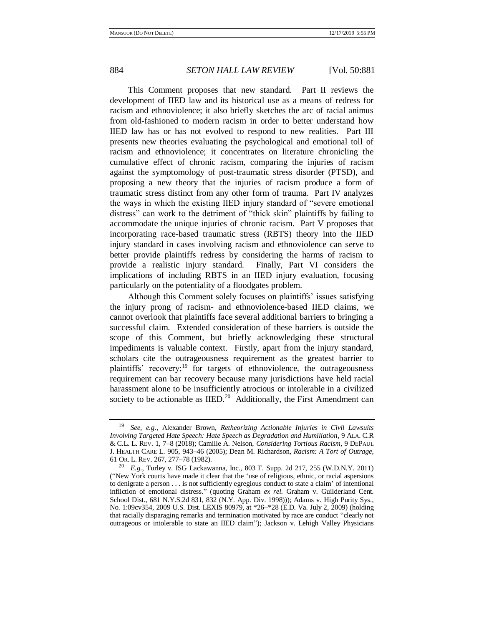This Comment proposes that new standard. Part II reviews the development of IIED law and its historical use as a means of redress for racism and ethnoviolence; it also briefly sketches the arc of racial animus from old-fashioned to modern racism in order to better understand how IIED law has or has not evolved to respond to new realities. Part III presents new theories evaluating the psychological and emotional toll of racism and ethnoviolence; it concentrates on literature chronicling the cumulative effect of chronic racism, comparing the injuries of racism against the symptomology of post-traumatic stress disorder (PTSD), and proposing a new theory that the injuries of racism produce a form of traumatic stress distinct from any other form of trauma. Part IV analyzes the ways in which the existing IIED injury standard of "severe emotional distress" can work to the detriment of "thick skin" plaintiffs by failing to accommodate the unique injuries of chronic racism. Part V proposes that incorporating race-based traumatic stress (RBTS) theory into the IIED injury standard in cases involving racism and ethnoviolence can serve to better provide plaintiffs redress by considering the harms of racism to provide a realistic injury standard. Finally, Part VI considers the implications of including RBTS in an IIED injury evaluation, focusing particularly on the potentiality of a floodgates problem.

Although this Comment solely focuses on plaintiffs' issues satisfying the injury prong of racism- and ethnoviolence-based IIED claims, we cannot overlook that plaintiffs face several additional barriers to bringing a successful claim. Extended consideration of these barriers is outside the scope of this Comment, but briefly acknowledging these structural impediments is valuable context. Firstly, apart from the injury standard, scholars cite the outrageousness requirement as the greatest barrier to plaintiffs' recovery;<sup>19</sup> for targets of ethnoviolence, the outrageousness requirement can bar recovery because many jurisdictions have held racial harassment alone to be insufficiently atrocious or intolerable in a civilized society to be actionable as  $\text{IED.}^{20}$  Additionally, the First Amendment can

<span id="page-3-1"></span><span id="page-3-0"></span><sup>19</sup> *See, e.g.*, Alexander Brown, *Retheorizing Actionable Injuries in Civil Lawsuits Involving Targeted Hate Speech: Hate Speech as Degradation and Humiliation*, 9 ALA. C.R & C.L. L. REV. 1, 7–8 (2018); Camille A. Nelson, *Considering Tortious Racism*, 9 DEPAUL J. HEALTH CARE L. 905, 943–46 (2005); Dean M. Richardson, *Racism: A Tort of Outrage*, 61 OR. L. REV. 267, 277–78 (1982).

<sup>20</sup> *E.g.*, Turley v. ISG Lackawanna, Inc., 803 F. Supp. 2d 217, 255 (W.D.N.Y. 2011) ("New York courts have made it clear that the 'use of religious, ethnic, or racial aspersions to denigrate a person . . . is not sufficiently egregious conduct to state a claim' of intentional infliction of emotional distress." (quoting Graham *ex rel.* Graham v. Guilderland Cent. School Dist., 681 N.Y.S.2d 831, 832 (N.Y. App. Div. 1998))); Adams v. High Purity Sys., No. 1:09cv354, 2009 U.S. Dist. LEXIS 80979, at \*26–\*28 (E.D. Va. July 2, 2009) (holding that racially disparaging remarks and termination motivated by race are conduct "clearly not outrageous or intolerable to state an IIED claim"); Jackson v. Lehigh Valley Physicians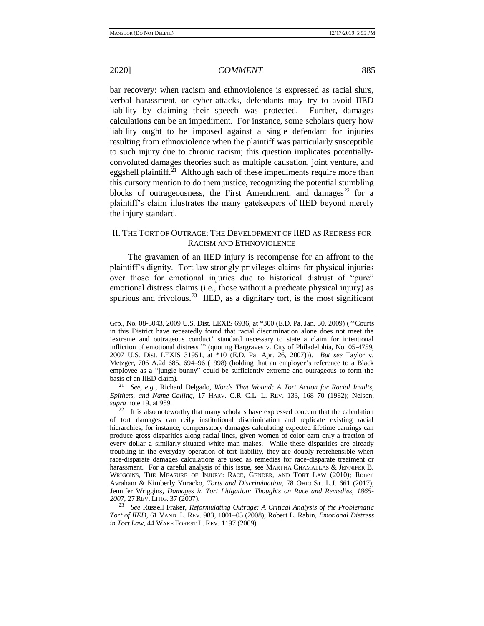bar recovery: when racism and ethnoviolence is expressed as racial slurs, verbal harassment, or cyber-attacks, defendants may try to avoid IIED liability by claiming their speech was protected. Further, damages calculations can be an impediment. For instance, some scholars query how liability ought to be imposed against a single defendant for injuries resulting from ethnoviolence when the plaintiff was particularly susceptible to such injury due to chronic racism; this question implicates potentiallyconvoluted damages theories such as multiple causation, joint venture, and eggshell plaintiff.<sup>21</sup> Although each of these impediments require more than this cursory mention to do them justice, recognizing the potential stumbling blocks of outrageousness, the First Amendment, and damages<sup>22</sup> for a plaintiff's claim illustrates the many gatekeepers of IIED beyond merely the injury standard.

# <span id="page-4-0"></span>II. THE TORT OF OUTRAGE: THE DEVELOPMENT OF IIED AS REDRESS FOR RACISM AND ETHNOVIOLENCE

The gravamen of an IIED injury is recompense for an affront to the plaintiff's dignity. Tort law strongly privileges claims for physical injuries over those for emotional injuries due to historical distrust of "pure" emotional distress claims (i.e., those without a predicate physical injury) as spurious and frivolous.<sup>23</sup> IIED, as a dignitary tort, is the most significant

<sup>21</sup> *See, e.g.*, Richard Delgado, *Words That Wound: A Tort Action for Racial Insults, Epithets, and Name-Calling*, 17 HARV. C.R.-C.L. L. REV. 133, 168–70 (1982); Nelson, *supra* note [19,](#page-3-0) at 959.

<span id="page-4-1"></span>Grp., No. 08-3043, 2009 U.S. Dist. LEXIS 6936, at \*300 (E.D. Pa. Jan. 30, 2009) ("'Courts in this District have repeatedly found that racial discrimination alone does not meet the 'extreme and outrageous conduct' standard necessary to state a claim for intentional infliction of emotional distress.'" (quoting Hargraves v. City of Philadelphia, No. 05-4759, 2007 U.S. Dist. LEXIS 31951, at \*10 (E.D. Pa. Apr. 26, 2007))). *But see* Taylor v. Metzger, 706 A.2d 685, 694–96 (1998) (holding that an employer's reference to a Black employee as a "jungle bunny" could be sufficiently extreme and outrageous to form the basis of an IIED claim).

 $22$  It is also noteworthy that many scholars have expressed concern that the calculation of tort damages can reify institutional discrimination and replicate existing racial hierarchies; for instance, compensatory damages calculating expected lifetime earnings can produce gross disparities along racial lines, given women of color earn only a fraction of every dollar a similarly-situated white man makes. While these disparities are already troubling in the everyday operation of tort liability, they are doubly reprehensible when race-disparate damages calculations are used as remedies for race-disparate treatment or harassment. For a careful analysis of this issue, see MARTHA CHAMALLAS & JENNIFER B. WRIGGINS, THE MEASURE OF INJURY: RACE, GENDER, AND TORT LAW (2010); Ronen Avraham & Kimberly Yuracko, *Torts and Discrimination*, 78 OHIO ST. L.J. 661 (2017); Jennifer Wriggins, *Damages in Tort Litigation: Thoughts on Race and Remedies, 1865- 2007*, 27 REV. LITIG. 37 (2007).

<sup>23</sup> *See* Russell Fraker, *Reformulating Outrage: A Critical Analysis of the Problematic Tort of IIED*, 61 VAND. L. REV. 983, 1001–05 (2008); Robert L. Rabin, *Emotional Distress in Tort Law*, 44 WAKE FOREST L. REV. 1197 (2009).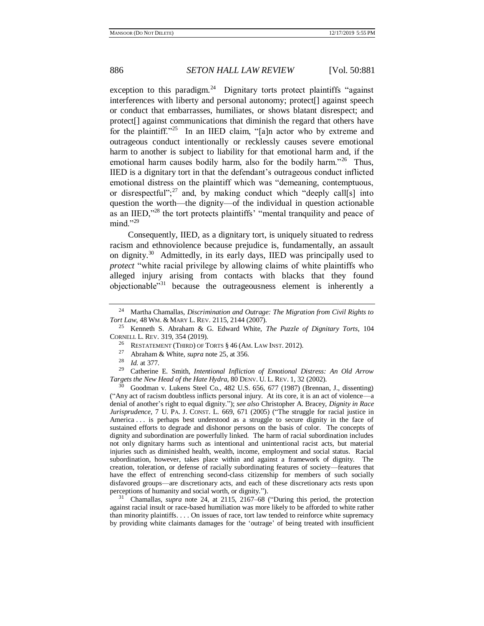<span id="page-5-1"></span><span id="page-5-0"></span>exception to this paradigm.<sup>24</sup> Dignitary torts protect plaintiffs "against interferences with liberty and personal autonomy; protect<sup>[]</sup> against speech or conduct that embarrasses, humiliates, or shows blatant disrespect; and protect[] against communications that diminish the regard that others have for the plaintiff."<sup>25</sup> In an IIED claim, "[a]n actor who by extreme and outrageous conduct intentionally or recklessly causes severe emotional harm to another is subject to liability for that emotional harm and, if the emotional harm causes bodily harm, also for the bodily harm."<sup>26</sup> Thus, IIED is a dignitary tort in that the defendant's outrageous conduct inflicted emotional distress on the plaintiff which was "demeaning, contemptuous, or disrespectful"; $^{27}$  and, by making conduct which "deeply call[s] into question the worth—the dignity—of the individual in question actionable as an IIED,"<sup>28</sup> the tort protects plaintiffs' "mental tranquility and peace of  $mind. "^{29}$ 

<span id="page-5-2"></span>Consequently, IIED, as a dignitary tort, is uniquely situated to redress racism and ethnoviolence because prejudice is, fundamentally, an assault on dignity.<sup>30</sup> Admittedly, in its early days, IIED was principally used to *protect* "white racial privilege by allowing claims of white plaintiffs who alleged injury arising from contacts with blacks that they found objectionable"<sup>31</sup> because the outrageousness element is inherently a

<sup>29</sup> Catherine E. Smith, *Intentional Infliction of Emotional Distress: An Old Arrow Targets the New Head of the Hate Hydra*, 80 DENV. U. L. REV. 1, 32 (2002).

<sup>30</sup> Goodman v. Lukens Steel Co., 482 U.S. 656, 677 (1987) (Brennan, J., dissenting) ("Any act of racism doubtless inflicts personal injury. At its core, it is an act of violence—a denial of another's right to equal dignity."); *see also* Christopher A. Bracey, *Dignity in Race Jurisprudence*, 7 U. PA. J. CONST. L. 669, 671 (2005) ("The struggle for racial justice in America ... is perhaps best understood as a struggle to secure dignity in the face of sustained efforts to degrade and dishonor persons on the basis of color. The concepts of dignity and subordination are powerfully linked. The harm of racial subordination includes not only dignitary harms such as intentional and unintentional racist acts, but material injuries such as diminished health, wealth, income, employment and social status. Racial subordination, however, takes place within and against a framework of dignity. The creation, toleration, or defense of racially subordinating features of society—features that have the effect of entrenching second-class citizenship for members of such socially disfavored groups—are discretionary acts, and each of these discretionary acts rests upon perceptions of humanity and social worth, or dignity.").

<sup>31</sup> Chamallas, *supra* note [24,](#page-5-1) at 2115, 2167–68 ("During this period, the protection against racial insult or race-based humiliation was more likely to be afforded to white rather than minority plaintiffs. . . . On issues of race, tort law tended to reinforce white supremacy by providing white claimants damages for the 'outrage' of being treated with insufficient

<sup>24</sup> Martha Chamallas, *Discrimination and Outrage: The Migration from Civil Rights to Tort Law*, 48 WM. & MARY L. REV. 2115, 2144 (2007).

<sup>25</sup> Kenneth S. Abraham & G. Edward White, *The Puzzle of Dignitary Torts*, 104 CORNELL L. REV. 319, 354 (2019).

<sup>26</sup> RESTATEMENT (THIRD) OF TORTS § 46 (AM. LAW INST. 2012).

<sup>&</sup>lt;sup>27</sup> Abraham & White, *supra* not[e 25,](#page-5-0) at 356.<br><sup>28</sup> *Id at 377* 

<sup>28</sup> *Id.* at 377.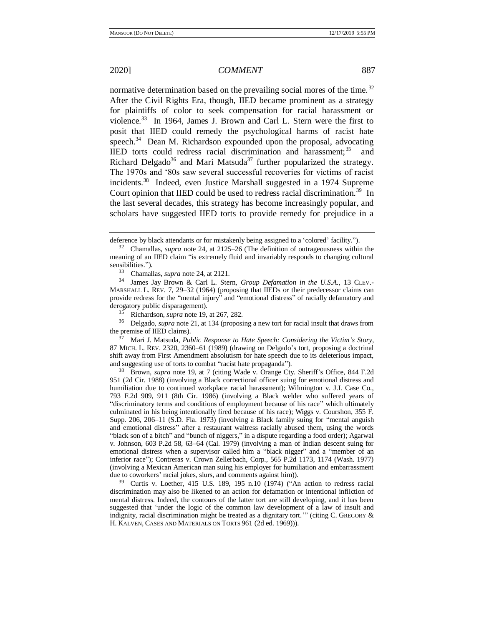normative determination based on the prevailing social mores of the time.<sup>32</sup> After the Civil Rights Era, though, IIED became prominent as a strategy for plaintiffs of color to seek compensation for racial harassment or violence.<sup>33</sup> In 1964, James J. Brown and Carl L. Stern were the first to posit that IIED could remedy the psychological harms of racist hate speech. $34$  Dean M. Richardson expounded upon the proposal, advocating IIED torts could redress racial discrimination and harassment; $35$  and Richard Delgado<sup>36</sup> and Mari Matsuda<sup>37</sup> further popularized the strategy. The 1970s and '80s saw several successful recoveries for victims of racist incidents.<sup>38</sup> Indeed, even Justice Marshall suggested in a 1974 Supreme Court opinion that IIED could be used to redress racial discrimination.<sup>39</sup> In the last several decades, this strategy has become increasingly popular, and scholars have suggested IIED torts to provide remedy for prejudice in a

<sup>33</sup> Chamallas, *supra* not[e 24,](#page-5-1) at 2121.

<sup>36</sup> Delgado, *supra* note [21,](#page-4-0) at 134 (proposing a new tort for racial insult that draws from the premise of IIED claims).

<sup>37</sup> Mari J. Matsuda, *Public Response to Hate Speech: Considering the Victim's Story*, 87 MICH. L. REV. 2320, 2360–61 (1989) (drawing on Delgado's tort, proposing a doctrinal shift away from First Amendment absolutism for hate speech due to its deleterious impact, and suggesting use of torts to combat "racist hate propaganda").

<sup>38</sup> Brown, *supra* note [19,](#page-3-0) at 7 (citing Wade v. Orange Cty. Sheriff's Office, 844 F.2d 951 (2d Cir. 1988) (involving a Black correctional officer suing for emotional distress and humiliation due to continued workplace racial harassment); Wilmington v. J.I. Case Co., 793 F.2d 909, 911 (8th Cir. 1986) (involving a Black welder who suffered years of "discriminatory terms and conditions of employment because of his race" which ultimately culminated in his being intentionally fired because of his race); Wiggs v. Courshon, 355 F. Supp. 206, 206–11 (S.D. Fla. 1973) (involving a Black family suing for "mental anguish and emotional distress" after a restaurant waitress racially abused them, using the words "black son of a bitch" and "bunch of niggers," in a dispute regarding a food order); Agarwal v. Johnson, 603 P.2d 58, 63–64 (Cal. 1979) (involving a man of Indian descent suing for emotional distress when a supervisor called him a "black nigger" and a "member of an inferior race"); Contreras v. Crown Zellerbach, Corp., 565 P.2d 1173, 1174 (Wash. 1977) (involving a Mexican American man suing his employer for humiliation and embarrassment due to coworkers' racial jokes, slurs, and comments against him)).

<sup>39</sup> Curtis v. Loether, 415 U.S. 189, 195 n.10 (1974) ("An action to redress racial discrimination may also be likened to an action for defamation or intentional infliction of mental distress. Indeed, the contours of the latter tort are still developing, and it has been suggested that 'under the logic of the common law development of a law of insult and indignity, racial discrimination might be treated as a dignitary tort.'" (citing C. GREGORY & H. KALVEN, CASES AND MATERIALS ON TORTS 961 (2d ed. 1969))).

deference by black attendants or for mistakenly being assigned to a 'colored' facility.").

<sup>32</sup> Chamallas, *supra* note [24,](#page-5-1) at 2125–26 (The definition of outrageousness within the meaning of an IIED claim "is extremely fluid and invariably responds to changing cultural sensibilities.").<br> $33$  Chamall

<sup>34</sup> James Jay Brown & Carl L. Stern, *Group Defamation in the U.S.A.*, 13 CLEV.- MARSHALL L. REV. 7, 29–32 (1964) (proposing that IIEDs or their predecessor claims can provide redress for the "mental injury" and "emotional distress" of racially defamatory and derogatory public disparagement).

<sup>&</sup>lt;sup>35</sup> Richardson, *supra* not[e 19,](#page-3-0) at 267, 282.<br><sup>36</sup> Delgado, *supra* pote 21, at 134 (propositional)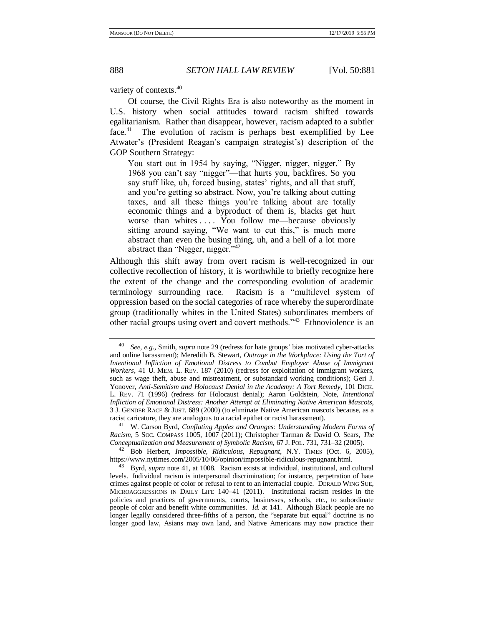variety of contexts.<sup>40</sup>

<span id="page-7-0"></span>Of course, the Civil Rights Era is also noteworthy as the moment in U.S. history when social attitudes toward racism shifted towards egalitarianism. Rather than disappear, however, racism adapted to a subtler face.<sup>41</sup> The evolution of racism is perhaps best exemplified by Lee Atwater's (President Reagan's campaign strategist's) description of the GOP Southern Strategy:

You start out in 1954 by saying, "Nigger, nigger, nigger." By 1968 you can't say "nigger"—that hurts you, backfires. So you say stuff like, uh, forced busing, states' rights, and all that stuff, and you're getting so abstract. Now, you're talking about cutting taxes, and all these things you're talking about are totally economic things and a byproduct of them is, blacks get hurt worse than whites .... You follow me—because obviously sitting around saying, "We want to cut this," is much more abstract than even the busing thing, uh, and a hell of a lot more abstract than "Nigger, nigger."<sup>42</sup>

Although this shift away from overt racism is well-recognized in our collective recollection of history, it is worthwhile to briefly recognize here the extent of the change and the corresponding evolution of academic terminology surrounding race. Racism is a "multilevel system of oppression based on the social categories of race whereby the superordinate group (traditionally whites in the United States) subordinates members of other racial groups using overt and covert methods."<sup>43</sup> Ethnoviolence is an

<span id="page-7-1"></span><sup>40</sup> *See, e.g.*, Smith, *supra* not[e 29](#page-5-2) (redress for hate groups' bias motivated cyber-attacks and online harassment); Meredith B. Stewart, *Outrage in the Workplace: Using the Tort of Intentional Infliction of Emotional Distress to Combat Employer Abuse of Immigrant Workers*, 41 U. MEM. L. REV. 187 (2010) (redress for exploitation of immigrant workers, such as wage theft, abuse and mistreatment, or substandard working conditions); Geri J. Yonover, *Anti-Semitism and Holocaust Denial in the Academy: A Tort Remedy*, 101 DICK. L. REV. 71 (1996) (redress for Holocaust denial); Aaron Goldstein, Note, *Intentional Infliction of Emotional Distress: Another Attempt at Eliminating Native American Mascots*, 3 J. GENDER RACE & JUST. 689 (2000) (to eliminate Native American mascots because, as a racist caricature, they are analogous to a racial epithet or racist harassment).

<sup>41</sup> W. Carson Byrd, *Conflating Apples and Oranges: Understanding Modern Forms of Racism*, 5 SOC. COMPASS 1005, 1007 (2011); Christopher Tarman & David O. Sears, *The Conceptualization and Measurement of Symbolic Racism*, 67 J. POL. 731, 731–32 (2005).

<sup>42</sup> Bob Herbert, *Impossible, Ridiculous, Repugnant*, N.Y. TIMES (Oct. 6, 2005), https://www.nytimes.com/2005/10/06/opinion/impossible-ridiculous-repugnant.html.

<sup>43</sup> Byrd, *supra* not[e 41,](#page-7-0) at 1008. Racism exists at individual, institutional, and cultural levels. Individual racism is interpersonal discrimination; for instance, perpetration of hate crimes against people of color or refusal to rent to an interracial couple. DERALD WING SUE, MICROAGGRESSIONS IN DAILY LIFE 140–41 (2011). Institutional racism resides in the policies and practices of governments, courts, businesses, schools, etc., to subordinate people of color and benefit white communities. *Id.* at 141. Although Black people are no longer legally considered three-fifths of a person, the "separate but equal" doctrine is no longer good law, Asians may own land, and Native Americans may now practice their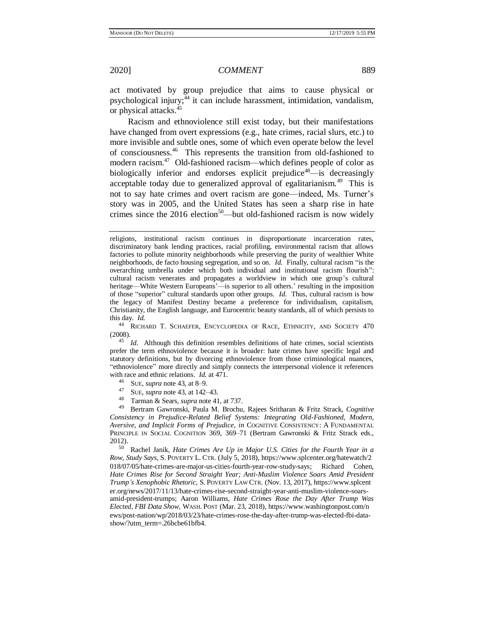act motivated by group prejudice that aims to cause physical or psychological injury;<sup>44</sup> it can include harassment, intimidation, vandalism, or physical attacks.<sup>45</sup>

Racism and ethnoviolence still exist today, but their manifestations have changed from overt expressions (e.g., hate crimes, racial slurs, etc.) to more invisible and subtle ones, some of which even operate below the level of consciousness.<sup>46</sup> This represents the transition from old-fashioned to modern racism.<sup>47</sup> Old-fashioned racism—which defines people of color as biologically inferior and endorses explicit prejudice<sup>48</sup>—is decreasingly acceptable today due to generalized approval of egalitarianism.<sup>49</sup> This is not to say hate crimes and overt racism are gone—indeed, Ms. Turner's story was in 2005, and the United States has seen a sharp rise in hate crimes since the  $2016$  election<sup>50</sup>—but old-fashioned racism is now widely

<sup>44</sup> RICHARD T. SCHAEFER, ENCYCLOPEDIA OF RACE, ETHNICITY, AND SOCIETY 470 (2008).

<sup>45</sup> *Id.* Although this definition resembles definitions of hate crimes, social scientists prefer the term ethnoviolence because it is broader: hate crimes have specific legal and statutory definitions, but by divorcing ethnoviolence from those criminological nuances, "ethnoviolence" more directly and simply connects the interpersonal violence it references with race and ethnic relations. *Id.* at 471.

- <sup>46</sup> SUE, *supra* not[e 43,](#page-7-1) at 8–9.
- <sup>47</sup> SUE, *supra* not[e 43,](#page-7-1) at 142–43.
- <sup>48</sup> Tarman & Sears, *supra* not[e 41,](#page-7-0) at 737.

<sup>49</sup> Bertram Gawronski, Paula M. Brochu, Rajees Sritharan & Fritz Strack, *Cognitive Consistency in Prejudice-Related Belief Systems: Integrating Old-Fashioned, Modern, Aversive, and Implicit Forms of Prejudice*, *in* COGNITIVE CONSISTENCY: A FUNDAMENTAL PRINCIPLE IN SOCIAL COGNITION 369, 369–71 (Bertram Gawronski & Fritz Strack eds., 2012).

<sup>50</sup> Rachel Janik, *Hate Crimes Are Up in Major U.S. Cities for the Fourth Year in a Row, Study Says*, S. POVERTY L. CTR. (July 5, 2018), https://www.splcenter.org/hatewatch/2 018/07/05/hate-crimes-are-major-us-cities-fourth-year-row-study-says; Richard Cohen, *Hate Crimes Rise for Second Straight Year; Anti-Muslim Violence Soars Amid President Trump's Xenophobic Rhetoric*, S. POVERTY LAW CTR. (Nov. 13, 2017), https://www.splcent er.org/news/2017/11/13/hate-crimes-rise-second-straight-year-anti-muslim-violence-soarsamid-president-trumps; Aaron Williams, *Hate Crimes Rose the Day After Trump Was Elected, FBI Data Show*, WASH. POST (Mar. 23, 2018), https://www.washingtonpost.com/n ews/post-nation/wp/2018/03/23/hate-crimes-rose-the-day-after-trump-was-elected-fbi-datashow/?utm\_term=.26bcbe61bfb4.

religions, institutional racism continues in disproportionate incarceration rates, discriminatory bank lending practices, racial profiling, environmental racism that allows factories to pollute minority neighborhoods while preserving the purity of wealthier White neighborhoods, de facto housing segregation, and so on. *Id.* Finally, cultural racism "is the overarching umbrella under which both individual and institutional racism flourish": cultural racism venerates and propagates a worldview in which one group's cultural heritage—White Western Europeans'—is superior to all others.' resulting in the imposition of those "superior" cultural standards upon other groups. *Id.* Thus, cultural racism is how the legacy of Manifest Destiny became a preference for individualism, capitalism, Christianity, the English language, and Eurocentric beauty standards, all of which persists to this day. *Id.*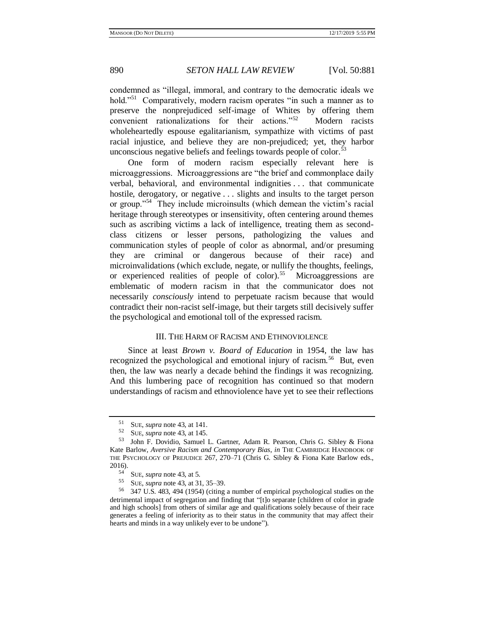condemned as "illegal, immoral, and contrary to the democratic ideals we hold."<sup>51</sup> Comparatively, modern racism operates "in such a manner as to preserve the nonprejudiced self-image of Whites by offering them convenient rationalizations for their actions."<sup>52</sup> Modern racists wholeheartedly espouse egalitarianism, sympathize with victims of past racial injustice, and believe they are non-prejudiced; yet, they harbor unconscious negative beliefs and feelings towards people of color.<sup>53</sup>

One form of modern racism especially relevant here is microaggressions. Microaggressions are "the brief and commonplace daily verbal, behavioral, and environmental indignities . . . that communicate hostile, derogatory, or negative . . . slights and insults to the target person or group."<sup>54</sup> They include microinsults (which demean the victim's racial heritage through stereotypes or insensitivity, often centering around themes such as ascribing victims a lack of intelligence, treating them as secondclass citizens or lesser persons, pathologizing the values and communication styles of people of color as abnormal, and/or presuming they are criminal or dangerous because of their race) and microinvalidations (which exclude, negate, or nullify the thoughts, feelings, or experienced realities of people of color).<sup>55</sup> Microaggressions are emblematic of modern racism in that the communicator does not necessarily *consciously* intend to perpetuate racism because that would contradict their non-racist self-image, but their targets still decisively suffer the psychological and emotional toll of the expressed racism.

# III. THE HARM OF RACISM AND ETHNOVIOLENCE

Since at least *Brown v. Board of Education* in 1954, the law has recognized the psychological and emotional injury of racism.<sup>56</sup> But, even then, the law was nearly a decade behind the findings it was recognizing. And this lumbering pace of recognition has continued so that modern understandings of racism and ethnoviolence have yet to see their reflections

<sup>&</sup>lt;sup>51</sup> SUE, *supra* not[e 43,](#page-7-1) at 141.

<sup>52</sup> SUE, *supra* not[e 43,](#page-7-1) at 145.

<sup>53</sup> John F. Dovidio, Samuel L. Gartner, Adam R. Pearson, Chris G. Sibley & Fiona Kate Barlow, *Aversive Racism and Contemporary Bias*, *in* THE CAMBRIDGE HANDBOOK OF THE PSYCHOLOGY OF PREJUDICE 267, 270–71 (Chris G. Sibley & Fiona Kate Barlow eds.,  $2016$ .

 $54$  SUE, *supra* not[e 43,](#page-7-1) at 5.<br> $55$  SUE *supra* pote 43 at 31

<sup>&</sup>lt;sup>55</sup> SUE, *supra* not[e 43,](#page-7-1) at 31, 35–39.<br><sup>56</sup> 347 U.S. 483, 494 (1954) (citing

<sup>56</sup> 347 U.S. 483, 494 (1954) (citing a number of empirical psychological studies on the detrimental impact of segregation and finding that "[t]o separate [children of color in grade and high schools] from others of similar age and qualifications solely because of their race generates a feeling of inferiority as to their status in the community that may affect their hearts and minds in a way unlikely ever to be undone").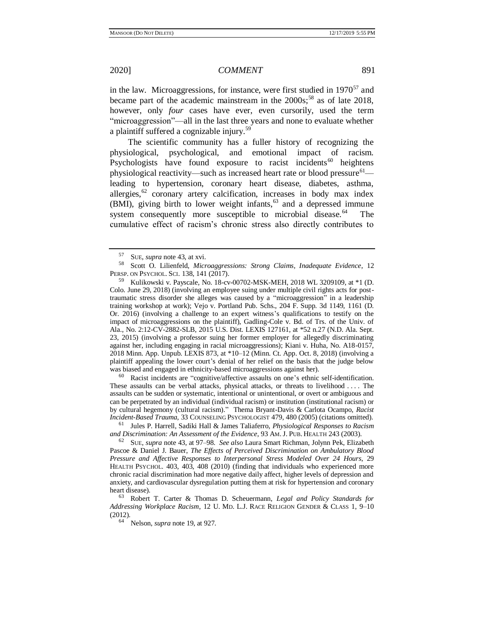in the law. Microaggressions, for instance, were first studied in  $1970^{57}$  and became part of the academic mainstream in the  $2000s$ ;<sup>58</sup> as of late 2018, however, only *four* cases have ever, even cursorily, used the term "microaggression"—all in the last three years and none to evaluate whether a plaintiff suffered a cognizable injury.<sup>59</sup>

The scientific community has a fuller history of recognizing the physiological, psychological, and emotional impact of racism. Psychologists have found exposure to racist incidents<sup>60</sup> heightens physiological reactivity—such as increased heart rate or blood pressure $61$  leading to hypertension, coronary heart disease, diabetes, asthma, allergies,<sup>62</sup> coronary artery calcification, increases in body max index (BMI), giving birth to lower weight infants,<sup>63</sup> and a depressed immune system consequently more susceptible to microbial disease.<sup>64</sup> The cumulative effect of racism's chronic stress also directly contributes to

 $60$  Racist incidents are "cognitive/affective assaults on one's ethnic self-identification. These assaults can be verbal attacks, physical attacks, or threats to livelihood . . . . The assaults can be sudden or systematic, intentional or unintentional, or overt or ambiguous and can be perpetrated by an individual (individual racism) or institution (institutional racism) or by cultural hegemony (cultural racism)." Thema Bryant-Davis & Carlota Ocampo, *Racist Incident-Based Trauma*, 33 COUNSELING PSYCHOLOGIST 479, 480 (2005) (citations omitted).

<sup>61</sup> Jules P. Harrell, Sadiki Hall & James Taliaferro, *Physiological Responses to Racism and Discrimination: An Assessment of the Evidence*, 93 AM. J. PUB. HEALTH 243 (2003).

<sup>62</sup> SUE, *supra* note [43,](#page-7-1) at 97–98. *See also* Laura Smart Richman, Jolynn Pek, Elizabeth Pascoe & Daniel J. Bauer, *The Effects of Perceived Discrimination on Ambulatory Blood Pressure and Affective Responses to Interpersonal Stress Modeled Over 24 Hours*, 29 HEALTH PSYCHOL. 403, 403, 408 (2010) (finding that individuals who experienced more chronic racial discrimination had more negative daily affect, higher levels of depression and anxiety, and cardiovascular dysregulation putting them at risk for hypertension and coronary heart disease).

<sup>63</sup> Robert T. Carter & Thomas D. Scheuermann, *Legal and Policy Standards for Addressing Workplace Racism*, 12 U. MD. L.J. RACE RELIGION GENDER & CLASS 1, 9–10 (2012).

<sup>64</sup> Nelson, *supra* note [19,](#page-3-0) at 927.

<span id="page-10-1"></span><span id="page-10-0"></span>

<sup>57</sup> SUE, *supra* not[e 43,](#page-7-1) at xvi.

<sup>58</sup> Scott O. Lilienfeld, *Microaggressions: Strong Claims, Inadequate Evidence*, 12 PERSP. ON PSYCHOL. SCI. 138, 141 (2017).

<sup>59</sup> Kulikowski v. Payscale, No. 18-cv-00702-MSK-MEH, 2018 WL 3209109, at \*1 (D. Colo. June 29, 2018) (involving an employee suing under multiple civil rights acts for posttraumatic stress disorder she alleges was caused by a "microaggression" in a leadership training workshop at work); Vejo v. Portland Pub. Schs., 204 F. Supp. 3d 1149, 1161 (D. Or. 2016) (involving a challenge to an expert witness's qualifications to testify on the impact of microaggressions on the plaintiff), Gadling-Cole v. Bd. of Trs. of the Univ. of Ala., No. 2:12-CV-2882-SLB, 2015 U.S. Dist. LEXIS 127161, at \*52 n.27 (N.D. Ala. Sept. 23, 2015) (involving a professor suing her former employer for allegedly discriminating against her, including engaging in racial microaggressions); Kiani v. Huha, No. A18-0157, 2018 Minn. App. Unpub. LEXIS 873, at \*10–12 (Minn. Ct. App. Oct. 8, 2018) (involving a plaintiff appealing the lower court's denial of her relief on the basis that the judge below was biased and engaged in ethnicity-based microaggressions against her).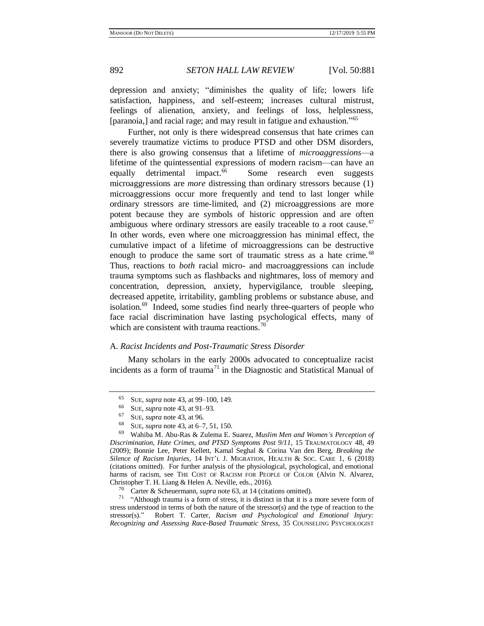<span id="page-11-0"></span>

depression and anxiety; "diminishes the quality of life; lowers life satisfaction, happiness, and self-esteem; increases cultural mistrust, feelings of alienation, anxiety, and feelings of loss, helplessness, [paranoia,] and racial rage; and may result in fatigue and exhaustion."<sup>65</sup>

<span id="page-11-3"></span>Further, not only is there widespread consensus that hate crimes can severely traumatize victims to produce PTSD and other DSM disorders, there is also growing consensus that a lifetime of *microaggressions*—a lifetime of the quintessential expressions of modern racism—can have an equally detrimental impact.<sup>66</sup> Some research even suggests microaggressions are *more* distressing than ordinary stressors because (1) microaggressions occur more frequently and tend to last longer while ordinary stressors are time-limited, and (2) microaggressions are more potent because they are symbols of historic oppression and are often ambiguous where ordinary stressors are easily traceable to a root cause.<sup>67</sup> In other words, even where one microaggression has minimal effect, the cumulative impact of a lifetime of microaggressions can be destructive enough to produce the same sort of traumatic stress as a hate crime.<sup>68</sup> Thus, reactions to *both* racial micro- and macroaggressions can include trauma symptoms such as flashbacks and nightmares, loss of memory and concentration, depression, anxiety, hypervigilance, trouble sleeping, decreased appetite, irritability, gambling problems or substance abuse, and isolation.<sup>69</sup> Indeed, some studies find nearly three-quarters of people who face racial discrimination have lasting psychological effects, many of which are consistent with trauma reactions.<sup>7</sup>

### <span id="page-11-4"></span><span id="page-11-1"></span>A. *Racist Incidents and Post-Traumatic Stress Disorder*

Many scholars in the early 2000s advocated to conceptualize racist incidents as a form of trauma<sup>71</sup> in the Diagnostic and Statistical Manual of

<sup>71</sup> "Although trauma is a form of stress, it is distinct in that it is a more severe form of stress understood in terms of both the nature of the stressor(s) and the type of reaction to the stressor(s)." Robert T. Carter, *Racism and Psychological and Emotional Injury: Recognizing and Assessing Race-Based Traumatic Stress*, 35 COUNSELING PSYCHOLOGIST

<span id="page-11-2"></span><sup>65</sup> SUE, *supra* not[e 43,](#page-7-1) at 99–100, 149.

<sup>&</sup>lt;sup>66</sup> SUE, *supra* not[e 43,](#page-7-1) at 91–93.

<sup>67</sup> SUE, *supra* not[e 43,](#page-7-1) at 96.

<sup>68</sup> SUE, *supra* not[e 43,](#page-7-1) at 6–7, 51, 150.

<sup>69</sup> Wahiba M. Abu-Ras & Zulema E. Suarez, *Muslim Men and Women's Perception of Discrimination, Hate Crimes, and PTSD Symptoms Post 9/11*, 15 TRAUMATOLOGY 48, 49 (2009); Bonnie Lee, Peter Kellett, Kamal Seghal & Corina Van den Berg, *Breaking the Silence of Racism Injuries*, 14 INT'L J. MIGRATION, HEALTH & SOC. CARE 1, 6 (2018) (citations omitted). For further analysis of the physiological, psychological, and emotional harms of racism, see THE COST OF RACISM FOR PEOPLE OF COLOR (Alvin N. Alvarez, Christopher T. H. Liang & Helen A. Neville, eds., 2016).

Carter & Scheuermann, *supra* not[e 63,](#page-10-0) at 14 (citations omitted).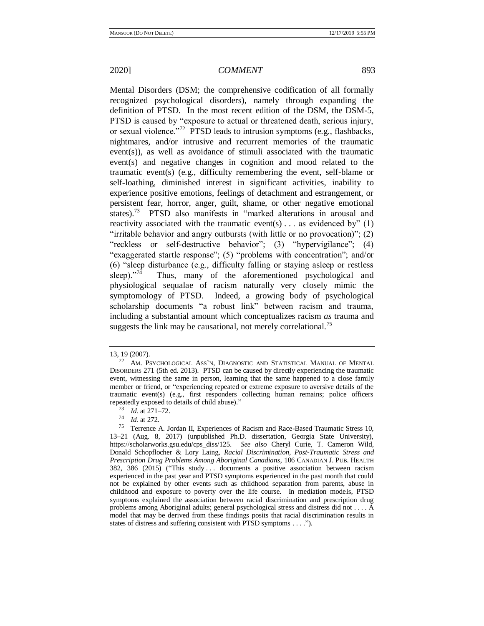<span id="page-12-1"></span>Mental Disorders (DSM; the comprehensive codification of all formally recognized psychological disorders), namely through expanding the definition of PTSD. In the most recent edition of the DSM, the DSM-5, PTSD is caused by "exposure to actual or threatened death, serious injury, or sexual violence."<sup>72</sup> PTSD leads to intrusion symptoms (e.g., flashbacks, nightmares, and/or intrusive and recurrent memories of the traumatic event(s)), as well as avoidance of stimuli associated with the traumatic event(s) and negative changes in cognition and mood related to the traumatic event(s) (e.g., difficulty remembering the event, self-blame or self-loathing, diminished interest in significant activities, inability to experience positive emotions, feelings of detachment and estrangement, or persistent fear, horror, anger, guilt, shame, or other negative emotional states).<sup>73</sup> PTSD also manifests in "marked alterations in arousal and reactivity associated with the traumatic event(s)... as evidenced by"  $(1)$ "irritable behavior and angry outbursts (with little or no provocation)"; (2) "reckless or self-destructive behavior"; (3) "hypervigilance"; (4) "exaggerated startle response"; (5) "problems with concentration"; and/or (6) "sleep disturbance (e.g., difficulty falling or staying asleep or restless sleep)." $74$  Thus, many of the aforementioned psychological and physiological sequalae of racism naturally very closely mimic the symptomology of PTSD. Indeed, a growing body of psychological scholarship documents "a robust link" between racism and trauma, including a substantial amount which conceptualizes racism *as* trauma and suggests the link may be causational, not merely correlational.<sup>75</sup>

<span id="page-12-0"></span><sup>13, 19 (2007).</sup>

<sup>72</sup> AM. PSYCHOLOGICAL ASS'N, DIAGNOSTIC AND STATISTICAL MANUAL OF MENTAL DISORDERS 271 (5th ed. 2013). PTSD can be caused by directly experiencing the traumatic event, witnessing the same in person, learning that the same happened to a close family member or friend, or "experiencing repeated or extreme exposure to aversive details of the traumatic event(s) (e.g., first responders collecting human remains; police officers repeatedly exposed to details of child abuse)."

<sup>73</sup> *Id.* at 271–72.

<sup>74</sup> *Id.* at 272.

<sup>75</sup> Terrence A. Jordan II, Experiences of Racism and Race-Based Traumatic Stress 10, 13–21 (Aug. 8, 2017) (unpublished Ph.D. dissertation, Georgia State University), https://scholarworks.gsu.edu/cps\_diss/125. *See also* Cheryl Curie, T. Cameron Wild, Donald Schopflocher & Lory Laing, *Racial Discrimination, Post-Traumatic Stress and Prescription Drug Problems Among Aboriginal Canadians*, 106 CANADIAN J. PUB. HEALTH 382, 386 (2015) ("This study ... documents a positive association between racism experienced in the past year and PTSD symptoms experienced in the past month that could not be explained by other events such as childhood separation from parents, abuse in childhood and exposure to poverty over the life course. In mediation models, PTSD symptoms explained the association between racial discrimination and prescription drug problems among Aboriginal adults; general psychological stress and distress did not . . . . A model that may be derived from these findings posits that racial discrimination results in states of distress and suffering consistent with PTSD symptoms . . . .").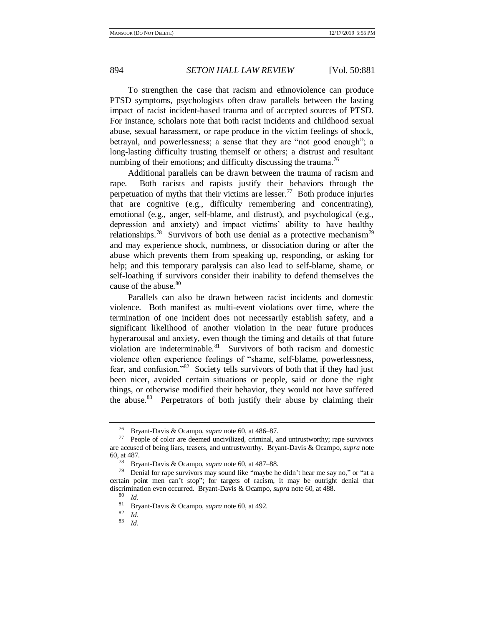To strengthen the case that racism and ethnoviolence can produce PTSD symptoms, psychologists often draw parallels between the lasting impact of racist incident-based trauma and of accepted sources of PTSD. For instance, scholars note that both racist incidents and childhood sexual abuse, sexual harassment, or rape produce in the victim feelings of shock, betrayal, and powerlessness; a sense that they are "not good enough"; a long-lasting difficulty trusting themself or others; a distrust and resultant numbing of their emotions; and difficulty discussing the trauma.<sup>76</sup>

Additional parallels can be drawn between the trauma of racism and rape. Both racists and rapists justify their behaviors through the perpetuation of myths that their victims are lesser.<sup>77</sup> Both produce injuries that are cognitive (e.g., difficulty remembering and concentrating), emotional (e.g., anger, self-blame, and distrust), and psychological (e.g., depression and anxiety) and impact victims' ability to have healthy relationships.<sup>78</sup> Survivors of both use denial as a protective mechanism<sup>79</sup> and may experience shock, numbness, or dissociation during or after the abuse which prevents them from speaking up, responding, or asking for help; and this temporary paralysis can also lead to self-blame, shame, or self-loathing if survivors consider their inability to defend themselves the cause of the abuse.<sup>80</sup>

Parallels can also be drawn between racist incidents and domestic violence. Both manifest as multi-event violations over time, where the termination of one incident does not necessarily establish safety, and a significant likelihood of another violation in the near future produces hyperarousal and anxiety, even though the timing and details of that future violation are indeterminable.<sup>81</sup> Survivors of both racism and domestic violence often experience feelings of "shame, self-blame, powerlessness, fear, and confusion."<sup>82</sup> Society tells survivors of both that if they had just been nicer, avoided certain situations or people, said or done the right things, or otherwise modified their behavior, they would not have suffered the abuse.<sup>83</sup> Perpetrators of both justify their abuse by claiming their

<sup>76</sup> Bryant-Davis & Ocampo, *supra* not[e 60,](#page-10-1) at 486–87.

People of color are deemed uncivilized, criminal, and untrustworthy; rape survivors are accused of being liars, teasers, and untrustworthy. Bryant-Davis & Ocampo, *supra* note [60,](#page-10-1) at 487.

<sup>78</sup> Bryant-Davis & Ocampo, *supra* not[e 60,](#page-10-1) at 487–88.

Denial for rape survivors may sound like "maybe he didn't hear me say no," or "at a certain point men can't stop"; for targets of racism, it may be outright denial that discrimination even occurred. Bryant-Davis & Ocampo, *supra* not[e 60,](#page-10-1) at 488.

 $\begin{array}{c} 80 \ 81 \ 81 \ \text{R}m \end{array}$ 

<sup>81</sup> Bryant-Davis & Ocampo, *supra* not[e 60,](#page-10-1) at 492.

 $\frac{82}{83}$  *Id.* 

<sup>83</sup> *Id.*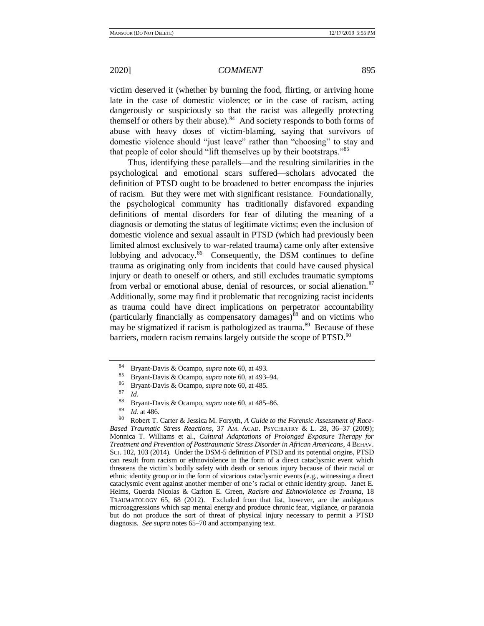victim deserved it (whether by burning the food, flirting, or arriving home late in the case of domestic violence; or in the case of racism, acting dangerously or suspiciously so that the racist was allegedly protecting themself or others by their abuse). $84$  And society responds to both forms of abuse with heavy doses of victim-blaming, saying that survivors of domestic violence should "just leave" rather than "choosing" to stay and that people of color should "lift themselves up by their bootstraps."<sup>85</sup>

Thus, identifying these parallels—and the resulting similarities in the psychological and emotional scars suffered—scholars advocated the definition of PTSD ought to be broadened to better encompass the injuries of racism. But they were met with significant resistance. Foundationally, the psychological community has traditionally disfavored expanding definitions of mental disorders for fear of diluting the meaning of a diagnosis or demoting the status of legitimate victims; even the inclusion of domestic violence and sexual assault in PTSD (which had previously been limited almost exclusively to war-related trauma) came only after extensive lobbying and advocacy.<sup>86</sup> Consequently, the DSM continues to define trauma as originating only from incidents that could have caused physical injury or death to oneself or others, and still excludes traumatic symptoms from verbal or emotional abuse, denial of resources, or social alienation.<sup>87</sup> Additionally, some may find it problematic that recognizing racist incidents as trauma could have direct implications on perpetrator accountability (particularly financially as compensatory damages)<sup>88</sup> and on victims who may be stigmatized if racism is pathologized as trauma.<sup>89</sup> Because of these barriers, modern racism remains largely outside the scope of PTSD.<sup>90</sup>

<span id="page-14-1"></span>

<span id="page-14-0"></span><sup>84</sup> Bryant-Davis & Ocampo, *supra* not[e 60,](#page-10-1) at 493.

<sup>85</sup> Bryant-Davis & Ocampo, *supra* not[e 60,](#page-10-1) at 493–94.

<sup>86</sup> Bryant-Davis & Ocampo, *supra* not[e 60,](#page-10-1) at 485.

 $\frac{87}{88}$  *Id.* 

<sup>88</sup> Bryant-Davis & Ocampo, *supra* not[e 60,](#page-10-1) at 485–86.

 $\frac{89}{90}$  *Id.* at 486.

Robert T. Carter & Jessica M. Forsyth, *A Guide to the Forensic Assessment of Race-Based Traumatic Stress Reactions*, 37 AM. ACAD. PSYCHIATRY & L. 28, 36–37 (2009); Monnica T. Williams et al., *Cultural Adaptations of Prolonged Exposure Therapy for Treatment and Prevention of Posttraumatic Stress Disorder in African Americans*, 4 BEHAV. SCI. 102, 103 (2014). Under the DSM-5 definition of PTSD and its potential origins, PTSD can result from racism or ethnoviolence in the form of a direct cataclysmic event which threatens the victim's bodily safety with death or serious injury because of their racial or ethnic identity group or in the form of vicarious cataclysmic events (e.g., witnessing a direct cataclysmic event against another member of one's racial or ethnic identity group. Janet E. Helms, Guerda Nicolas & Carlton E. Green, *Racism and Ethnoviolence as Trauma*, 18 TRAUMATOLOGY 65, 68 (2012). Excluded from that list, however, are the ambiguous microaggressions which sap mental energy and produce chronic fear, vigilance, or paranoia but do not produce the sort of threat of physical injury necessary to permit a PTSD diagnosis. *See supra* note[s 65](#page-11-0)[–70](#page-11-1) and accompanying text.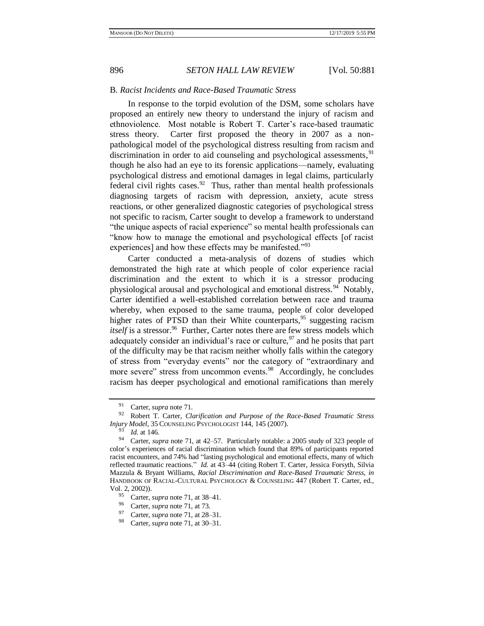### B. *Racist Incidents and Race-Based Traumatic Stress*

In response to the torpid evolution of the DSM, some scholars have proposed an entirely new theory to understand the injury of racism and ethnoviolence. Most notable is Robert T. Carter's race-based traumatic stress theory. Carter first proposed the theory in 2007 as a nonpathological model of the psychological distress resulting from racism and discrimination in order to aid counseling and psychological assessments,  $91$ though he also had an eye to its forensic applications—namely, evaluating psychological distress and emotional damages in legal claims, particularly federal civil rights cases. $92$  Thus, rather than mental health professionals diagnosing targets of racism with depression, anxiety, acute stress reactions, or other generalized diagnostic categories of psychological stress not specific to racism, Carter sought to develop a framework to understand "the unique aspects of racial experience" so mental health professionals can "know how to manage the emotional and psychological effects [of racist experiences] and how these effects may be manifested."<sup>93</sup>

<span id="page-15-0"></span>Carter conducted a meta-analysis of dozens of studies which demonstrated the high rate at which people of color experience racial discrimination and the extent to which it is a stressor producing physiological arousal and psychological and emotional distress.<sup>94</sup> Notably, Carter identified a well-established correlation between race and trauma whereby, when exposed to the same trauma, people of color developed higher rates of PTSD than their White counterparts,  $95$  suggesting racism itself is a stressor.<sup>96</sup> Further, Carter notes there are few stress models which adequately consider an individual's race or culture,  $97$  and he posits that part of the difficulty may be that racism neither wholly falls within the category of stress from "everyday events" nor the category of "extraordinary and more severe" stress from uncommon events.<sup>98</sup> Accordingly, he concludes racism has deeper psychological and emotional ramifications than merely

<sup>96</sup> Carter, *supra* not[e 71,](#page-11-2) at 73.

<sup>&</sup>lt;sup>91</sup> Carter, *supra* not[e 71.](#page-11-2)

<sup>92</sup> Robert T. Carter, *Clarification and Purpose of the Race-Based Traumatic Stress Injury Model*, 35 COUNSELING PSYCHOLOGIST 144, 145 (2007).

 $\frac{93}{94}$  *Id.* at 146.

<sup>94</sup> Carter, *supra* note [71,](#page-11-2) at 42–57. Particularly notable: a 2005 study of 323 people of color's experiences of racial discrimination which found that 89% of participants reported racist encounters, and 74% had "lasting psychological and emotional effects, many of which reflected traumatic reactions." *Id.* at 43–44 (citing Robert T. Carter, Jessica Forsyth, Silvia Mazzula & Bryant Williams, *Racial Discrimination and Race-Based Traumatic Stress*, *in* HANDBOOK OF RACIAL-CULTURAL PSYCHOLOGY & COUNSELING 447 (Robert T. Carter, ed., Vol. 2, 2002)).

<sup>&</sup>lt;sup>95</sup> Carter, *supra* not[e 71,](#page-11-2) at 38–41.<br><sup>96</sup> Carter, *supra* pote 71, at 73.

<sup>97</sup> Carter, *supra* not[e 71,](#page-11-2) at 28–31.

<sup>98</sup> Carter, *supra* not[e 71,](#page-11-2) at 30–31.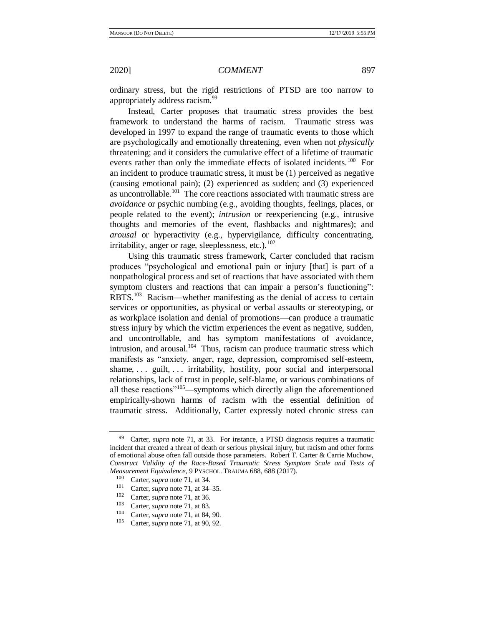<span id="page-16-0"></span>ordinary stress, but the rigid restrictions of PTSD are too narrow to appropriately address racism.<sup>99</sup>

Instead, Carter proposes that traumatic stress provides the best framework to understand the harms of racism. Traumatic stress was developed in 1997 to expand the range of traumatic events to those which are psychologically and emotionally threatening, even when not *physically* threatening; and it considers the cumulative effect of a lifetime of traumatic events rather than only the immediate effects of isolated incidents.<sup>100</sup> For an incident to produce traumatic stress, it must be (1) perceived as negative (causing emotional pain); (2) experienced as sudden; and (3) experienced as uncontrollable.<sup>101</sup> The core reactions associated with traumatic stress are *avoidance* or psychic numbing (e.g., avoiding thoughts, feelings, places, or people related to the event); *intrusion* or reexperiencing (e.g., intrusive thoughts and memories of the event, flashbacks and nightmares); and *arousal* or hyperactivity (e.g., hypervigilance, difficulty concentrating, irritability, anger or rage, sleeplessness, etc.). $102$ 

<span id="page-16-1"></span>Using this traumatic stress framework, Carter concluded that racism produces "psychological and emotional pain or injury [that] is part of a nonpathological process and set of reactions that have associated with them symptom clusters and reactions that can impair a person's functioning": RBTS.<sup>103</sup> Racism—whether manifesting as the denial of access to certain services or opportunities, as physical or verbal assaults or stereotyping, or as workplace isolation and denial of promotions—can produce a traumatic stress injury by which the victim experiences the event as negative, sudden, and uncontrollable, and has symptom manifestations of avoidance, intrusion, and arousal.<sup>104</sup> Thus, racism can produce traumatic stress which manifests as "anxiety, anger, rage, depression, compromised self-esteem, shame, ... guilt, ... irritability, hostility, poor social and interpersonal relationships, lack of trust in people, self-blame, or various combinations of all these reactions<sup>"105</sup>—symptoms which directly align the aforementioned empirically-shown harms of racism with the essential definition of traumatic stress. Additionally, Carter expressly noted chronic stress can

Carter, *supra* note [71,](#page-11-2) at 33. For instance, a PTSD diagnosis requires a traumatic incident that created a threat of death or serious physical injury, but racism and other forms of emotional abuse often fall outside those parameters. Robert T. Carter & Carrie Muchow, *Construct Validity of the Race-Based Traumatic Stress Symptom Scale and Tests of Measurement Equivalence*, 9 PYSCHOL. TRAUMA 688, 688 (2017).

<sup>&</sup>lt;sup>100</sup> Carter, *supra* not[e 71,](#page-11-2) at 34.

<sup>&</sup>lt;sup>101</sup> Carter, *supra* not[e 71,](#page-11-2) at 34–35.

 $\frac{102}{103}$  Carter, *supra* not[e 71,](#page-11-2) at 36.

<sup>&</sup>lt;sup>103</sup> Carter, *supra* not[e 71,](#page-11-2) at 83.

<sup>&</sup>lt;sup>104</sup> Carter, *supra* not[e 71,](#page-11-2) at 84, 90.<br><sup>105</sup> Carter, supra pote 71, at 90, 92

Carter, *supra* not[e 71,](#page-11-2) at 90, 92.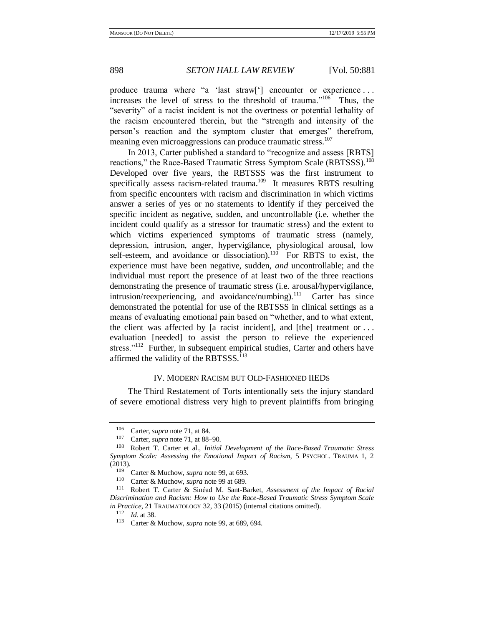produce trauma where "a 'last straw['] encounter or experience . . . increases the level of stress to the threshold of trauma."<sup>106</sup> Thus, the "severity" of a racist incident is not the overtness or potential lethality of the racism encountered therein, but the "strength and intensity of the person's reaction and the symptom cluster that emerges" therefrom, meaning even microaggressions can produce traumatic stress.<sup>107</sup>

<span id="page-17-0"></span>In 2013, Carter published a standard to "recognize and assess [RBTS] reactions," the Race-Based Traumatic Stress Symptom Scale (RBTSSS).<sup>108</sup> Developed over five years, the RBTSSS was the first instrument to specifically assess racism-related trauma.<sup>109</sup> It measures RBTS resulting from specific encounters with racism and discrimination in which victims answer a series of yes or no statements to identify if they perceived the specific incident as negative, sudden, and uncontrollable (i.e. whether the incident could qualify as a stressor for traumatic stress) and the extent to which victims experienced symptoms of traumatic stress (namely, depression, intrusion, anger, hypervigilance, physiological arousal, low self-esteem, and avoidance or dissociation).<sup>110</sup> For RBTS to exist, the experience must have been negative, sudden, *and* uncontrollable; and the individual must report the presence of at least two of the three reactions demonstrating the presence of traumatic stress (i.e. arousal/hypervigilance, intrusion/reexperiencing, and avoidance/numbing).<sup>111</sup> Carter has since demonstrated the potential for use of the RBTSSS in clinical settings as a means of evaluating emotional pain based on "whether, and to what extent, the client was affected by [a racist incident], and [the] treatment or  $\dots$ evaluation [needed] to assist the person to relieve the experienced stress."<sup>112</sup> Further, in subsequent empirical studies, Carter and others have affirmed the validity of the RBTSSS.<sup>113</sup>

# IV. MODERN RACISM BUT OLD-FASHIONED IIEDS

The Third Restatement of Torts intentionally sets the injury standard of severe emotional distress very high to prevent plaintiffs from bringing

<sup>&</sup>lt;sup>106</sup> Carter, *supra* not[e 71,](#page-11-2) at 84.

<sup>&</sup>lt;sup>107</sup> Carter, *supra* not[e 71,](#page-11-2) at 88–90.<br><sup>108</sup> Pobert T. Carter at al. *Initial* 

<sup>108</sup> Robert T. Carter et al., *Initial Development of the Race-Based Traumatic Stress Symptom Scale: Assessing the Emotional Impact of Racism*, 5 PSYCHOL. TRAUMA 1, 2  $(2013).$ 

<sup>&</sup>lt;sup>109</sup> Carter & Muchow, *supra* not[e 99,](#page-16-0) at 693.<br><sup>110</sup> Carter & Muchow, *supra* note 99 at 689

<sup>&</sup>lt;sup>110</sup> Carter & Muchow, *supra* not[e 99](#page-16-0) at 689.

<sup>111</sup> Robert T. Carter & Sinéad M. Sant-Barket, *Assessment of the Impact of Racial Discrimination and Racism: How to Use the Race-Based Traumatic Stress Symptom Scale in Practice*, 21 TRAUMATOLOGY 32, 33 (2015) (internal citations omitted).

<sup>112</sup> *Id.* at 38.

<sup>113</sup> Carter & Muchow, *supra* not[e 99,](#page-16-0) at 689, 694.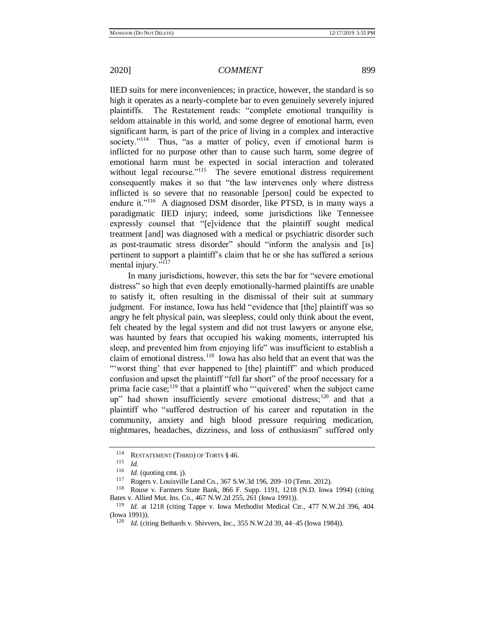IIED suits for mere inconveniences; in practice, however, the standard is so high it operates as a nearly-complete bar to even genuinely severely injured plaintiffs. The Restatement reads: "complete emotional tranquility is seldom attainable in this world, and some degree of emotional harm, even significant harm, is part of the price of living in a complex and interactive society."<sup>114</sup> Thus, "as a matter of policy, even if emotional harm is inflicted for no purpose other than to cause such harm, some degree of emotional harm must be expected in social interaction and tolerated without legal recourse."<sup>115</sup> The severe emotional distress requirement consequently makes it so that "the law intervenes only where distress inflicted is so severe that no reasonable [person] could be expected to endure it."<sup>116</sup> A diagnosed DSM disorder, like PTSD, is in many ways a paradigmatic IIED injury; indeed, some jurisdictions like Tennessee expressly counsel that "[e]vidence that the plaintiff sought medical treatment [and] was diagnosed with a medical or psychiatric disorder such as post-traumatic stress disorder" should "inform the analysis and [is] pertinent to support a plaintiff's claim that he or she has suffered a serious mental injury."<sup>117</sup>

<span id="page-18-0"></span>In many jurisdictions, however, this sets the bar for "severe emotional distress" so high that even deeply emotionally-harmed plaintiffs are unable to satisfy it, often resulting in the dismissal of their suit at summary judgment. For instance, Iowa has held "evidence that [the] plaintiff was so angry he felt physical pain, was sleepless, could only think about the event, felt cheated by the legal system and did not trust lawyers or anyone else, was haunted by fears that occupied his waking moments, interrupted his sleep, and prevented him from enjoying life" was insufficient to establish a claim of emotional distress.<sup>118</sup> Iowa has also held that an event that was the "'worst thing' that ever happened to [the] plaintiff" and which produced confusion and upset the plaintiff "fell far short" of the proof necessary for a prima facie case;<sup>119</sup> that a plaintiff who "'quivered' when the subject came up" had shown insufficiently severe emotional distress;<sup>120</sup> and that a plaintiff who "suffered destruction of his career and reputation in the community, anxiety and high blood pressure requiring medication, nightmares, headaches, dizziness, and loss of enthusiasm" suffered only

<sup>&</sup>lt;sup>114</sup> RESTATEMENT (THIRD) OF TORTS  $§$  46.<br><sup>115</sup> Id

 $\frac{115}{116}$  *Id.* 

 $\frac{116}{117}$  *Id.* (quoting cmt. j).

Rogers v. Louisville Land Co., 367 S.W.3d 196, 209-10 (Tenn. 2012).

<sup>118</sup> Rouse v. Farmers State Bank, 866 F. Supp. 1191, 1218 (N.D. Iowa 1994) (citing Bates v. Allied Mut. Ins. Co., 467 N.W.2d 255, 261 (Iowa 1991)).<br><sup>119</sup> Id. at 1218 (giting Tappe v. Joue Mathodist Medical Co

*Id.* at 1218 (citing Tappe v. Iowa Methodist Medical Ctr., 477 N.W.2d 396, 404 (Iowa 1991)).

<sup>120</sup> *Id.* (citing Bethards v. Shivvers, Inc., 355 N.W.2d 39, 44–45 (Iowa 1984)).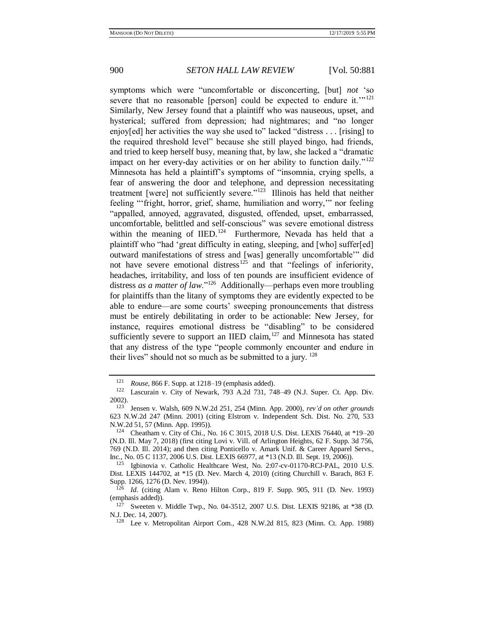symptoms which were "uncomfortable or disconcerting, [but] *not* 'so severe that no reasonable [person] could be expected to endure it."<sup>121</sup> Similarly, New Jersey found that a plaintiff who was nauseous, upset, and hysterical; suffered from depression; had nightmares; and "no longer enjoy[ed] her activities the way she used to" lacked "distress . . . [rising] to the required threshold level" because she still played bingo, had friends, and tried to keep herself busy, meaning that, by law, she lacked a "dramatic impact on her every-day activities or on her ability to function daily."<sup>122</sup> Minnesota has held a plaintiff's symptoms of "insomnia, crying spells, a fear of answering the door and telephone, and depression necessitating treatment [were] not sufficiently severe."<sup>123</sup> Illinois has held that neither feeling "'fright, horror, grief, shame, humiliation and worry,'" nor feeling "appalled, annoyed, aggravated, disgusted, offended, upset, embarrassed, uncomfortable, belittled and self-conscious" was severe emotional distress within the meaning of IIED.<sup>124</sup> Furthermore, Nevada has held that a plaintiff who "had 'great difficulty in eating, sleeping, and [who] suffer[ed] outward manifestations of stress and [was] generally uncomfortable'" did not have severe emotional distress<sup>125</sup> and that "feelings of inferiority, headaches, irritability, and loss of ten pounds are insufficient evidence of distress *as a matter of law*."<sup>126</sup> Additionally—perhaps even more troubling for plaintiffs than the litany of symptoms they are evidently expected to be able to endure—are some courts' sweeping pronouncements that distress must be entirely debilitating in order to be actionable: New Jersey, for instance, requires emotional distress be "disabling" to be considered sufficiently severe to support an IIED claim,  $127$  and Minnesota has stated that any distress of the type "people commonly encounter and endure in their lives" should not so much as be submitted to a jury.  $128$ 

<span id="page-19-0"></span><sup>1&</sup>lt;sup>21</sup> *Rouse*, 866 F. Supp. at 1218–19 (emphasis added).<br>1<sup>22</sup> **Leaguesia v. City of Navarly 702, A 2d 721, 74** 

Lascurain v. City of Newark, 793 A.2d 731, 748–49 (N.J. Super. Ct. App. Div. 2002).

<sup>123</sup> Jensen v. Walsh, 609 N.W.2d 251, 254 (Minn. App. 2000), *rev'd on other grounds*  623 N.W.2d 247 (Minn. 2001) (citing Elstrom v. Independent Sch. Dist. No. 270, 533 N.W.2d 51, 57 (Minn. App. 1995)).

<sup>124</sup> Cheatham v. City of Chi., No. 16 C 3015, 2018 U.S. Dist. LEXIS 76440, at \*19–20 (N.D. Ill. May 7, 2018) (first citing Lovi v. Vill. of Arlington Heights, 62 F. Supp. 3d 756, 769 (N.D. Ill. 2014); and then citing Ponticello v. Amark Unif. & Career Apparel Servs., Inc., No. 05 C 1137, 2006 U.S. Dist. LEXIS 66977, at \*13 (N.D. Ill. Sept. 19, 2006)).

<sup>125</sup> Igbinovia v. Catholic Healthcare West, No. 2:07-cv-01170-RCJ-PAL, 2010 U.S. Dist. LEXIS 144702, at \*15 (D. Nev. March 4, 2010) (citing Churchill v. Barach, 863 F. Supp. 1266, 1276 (D. Nev. 1994)).

<sup>126</sup> *Id.* (citing Alam v. Reno Hilton Corp., 819 F. Supp. 905, 911 (D. Nev. 1993) (emphasis added)).

 $127$  Sweeten v. Middle Twp., No. 04-3512, 2007 U.S. Dist. LEXIS 92186, at \*38 (D. N.J. Dec. 14, 2007).

<sup>128</sup> Lee v. Metropolitan Airport Com., 428 N.W.2d 815, 823 (Minn. Ct. App. 1988)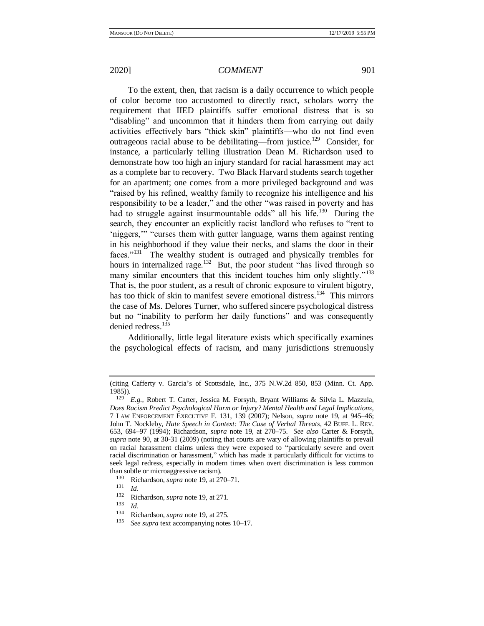To the extent, then, that racism is a daily occurrence to which people of color become too accustomed to directly react, scholars worry the requirement that IIED plaintiffs suffer emotional distress that is so "disabling" and uncommon that it hinders them from carrying out daily activities effectively bars "thick skin" plaintiffs—who do not find even outrageous racial abuse to be debilitating—from justice.<sup>129</sup> Consider, for instance, a particularly telling illustration Dean M. Richardson used to demonstrate how too high an injury standard for racial harassment may act as a complete bar to recovery. Two Black Harvard students search together for an apartment; one comes from a more privileged background and was "raised by his refined, wealthy family to recognize his intelligence and his responsibility to be a leader," and the other "was raised in poverty and has had to struggle against insurmountable odds" all his life.<sup>130</sup> During the search, they encounter an explicitly racist landlord who refuses to "rent to 'niggers,'" "curses them with gutter language, warns them against renting in his neighborhood if they value their necks, and slams the door in their faces."<sup>131</sup> The wealthy student is outraged and physically trembles for hours in internalized rage.<sup>132</sup> But, the poor student "has lived through so many similar encounters that this incident touches him only slightly."<sup>133</sup> That is, the poor student, as a result of chronic exposure to virulent bigotry, has too thick of skin to manifest severe emotional distress.<sup>134</sup> This mirrors the case of Ms. Delores Turner, who suffered sincere psychological distress but no "inability to perform her daily functions" and was consequently denied redress.<sup>135</sup>

Additionally, little legal literature exists which specifically examines the psychological effects of racism, and many jurisdictions strenuously

<span id="page-20-0"></span>

<sup>(</sup>citing Cafferty v. Garcia's of Scottsdale, Inc., 375 N.W.2d 850, 853 (Minn. Ct. App. 1985)).

<sup>129</sup> *E.g.*, Robert T. Carter, Jessica M. Forsyth, Bryant Williams & Silvia L. Mazzula, *Does Racism Predict Psychological Harm or Injury? Mental Health and Legal Implications*, 7 LAW ENFORCEMENT EXECUTIVE F. 131, 139 (2007); Nelson, *supra* note [19,](#page-3-0) at 945–46; John T. Nockleby, *Hate Speech in Context: The Case of Verbal Threats*, 42 BUFF. L. REV. 653, 694–97 (1994); Richardson, *supra* note [19,](#page-3-0) at 270–75. *See also* Carter & Forsyth, *supra* note [90,](#page-14-0) at 30-31 (2009) (noting that courts are wary of allowing plaintiffs to prevail on racial harassment claims unless they were exposed to "particularly severe and overt racial discrimination or harassment," which has made it particularly difficult for victims to seek legal redress, especially in modern times when overt discrimination is less common than subtle or microaggressive racism).

<sup>1&</sup>lt;sup>30</sup> Richardson, *supra* not[e 19,](#page-3-0) at 270–71.

 $\frac{131}{132}$  *Id.* 

 $^{132}$  Richardson, *supra* not[e 19,](#page-3-0) at 271.

 $\frac{133}{134}$  *Id.* 

<sup>134</sup> Richardson, *supra* not[e 19,](#page-3-0) at 275.

See supra text accompanying note[s 10–](#page-1-0)[17.](#page-2-0)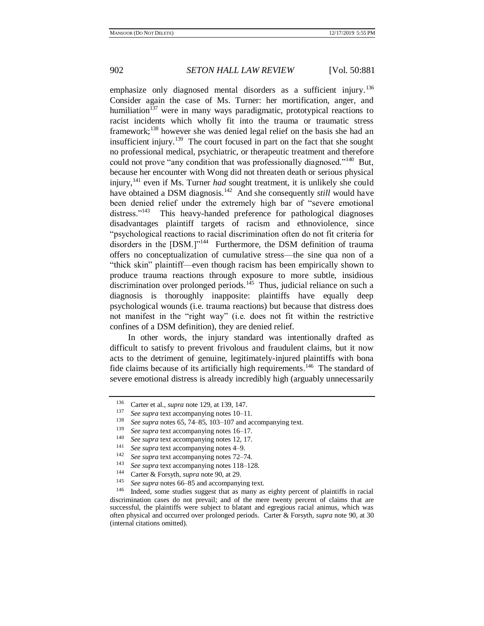emphasize only diagnosed mental disorders as a sufficient injury.<sup>136</sup> Consider again the case of Ms. Turner: her mortification, anger, and humiliation<sup>137</sup> were in many ways paradigmatic, prototypical reactions to racist incidents which wholly fit into the trauma or traumatic stress framework;<sup>138</sup> however she was denied legal relief on the basis she had an insufficient injury.<sup>139</sup> The court focused in part on the fact that she sought no professional medical, psychiatric, or therapeutic treatment and therefore could not prove "any condition that was professionally diagnosed."<sup>140</sup> But, because her encounter with Wong did not threaten death or serious physical injury,<sup>141</sup> even if Ms. Turner *had* sought treatment, it is unlikely she could have obtained a DSM diagnosis.<sup>142</sup> And she consequently *still* would have been denied relief under the extremely high bar of "severe emotional distress."<sup>143</sup> This heavy-handed preference for pathological diagnoses disadvantages plaintiff targets of racism and ethnoviolence, since "psychological reactions to racial discrimination often do not fit criteria for disorders in the [DSM.]"<sup>144</sup> Furthermore, the DSM definition of trauma offers no conceptualization of cumulative stress—the sine qua non of a "thick skin" plaintiff—even though racism has been empirically shown to produce trauma reactions through exposure to more subtle, insidious discrimination over prolonged periods.<sup>145</sup> Thus, judicial reliance on such a diagnosis is thoroughly inapposite: plaintiffs have equally deep psychological wounds (i.e. trauma reactions) but because that distress does not manifest in the "right way" (i.e. does not fit within the restrictive confines of a DSM definition), they are denied relief.

In other words, the injury standard was intentionally drafted as difficult to satisfy to prevent frivolous and fraudulent claims, but it now acts to the detriment of genuine, legitimately-injured plaintiffs with bona fide claims because of its artificially high requirements.<sup>146</sup> The standard of severe emotional distress is already incredibly high (arguably unnecessarily

<sup>136</sup> Carter et al., *supra* not[e 129,](#page-20-0) at 139, 147.

<sup>137</sup> *See supra* text accompanying note[s 10–](#page-1-0)[11.](#page-1-1)

<sup>&</sup>lt;sup>138</sup> *See supra* notes [65,](#page-11-0) [74](#page-12-0)[–85,](#page-14-1) [103](#page-16-1)[–107](#page-17-0) and accompanying text.<br><sup>139</sup> See supported accompanying notes 16, 17

<sup>&</sup>lt;sup>139</sup> *See supra* text accompanying notes  $16-17$ .<br><sup>140</sup> *See supra* text accompanying notes 12–17

<sup>&</sup>lt;sup>140</sup> *See supra* text accompanying note[s 12,](#page-1-3) [17.](#page-2-0)<br><sup>141</sup> See supra text accompanying notes 4, 9.

<sup>141</sup> *See supra* text accompanying note[s 4](#page-0-0)[–9.](#page-1-4)

<sup>142</sup> *See supra* text accompanying note[s 72–](#page-12-1)[74.](#page-12-0)

<sup>143</sup> *See supra* text accompanying note[s 118](#page-18-0)[–128.](#page-19-0)

<sup>144</sup> Carter & Forsyth, *supra* not[e 90,](#page-14-0) at 29.

<sup>145</sup> *See supra* notes [66](#page-11-3)[–85](#page-14-1) and accompanying text.

Indeed, some studies suggest that as many as eighty percent of plaintiffs in racial discrimination cases do not prevail; and of the mere twenty percent of claims that are successful, the plaintiffs were subject to blatant and egregious racial animus, which was often physical and occurred over prolonged periods. Carter & Forsyth, *supra* note [90,](#page-14-0) at 30 (internal citations omitted).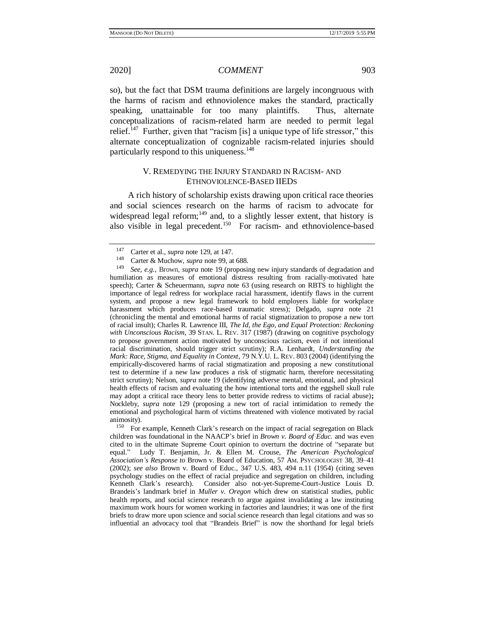so), but the fact that DSM trauma definitions are largely incongruous with the harms of racism and ethnoviolence makes the standard, practically speaking, unattainable for too many plaintiffs. Thus, alternate conceptualizations of racism-related harm are needed to permit legal relief.<sup>147</sup> Further, given that "racism [is] a unique type of life stressor," this alternate conceptualization of cognizable racism-related injuries should particularly respond to this uniqueness.<sup>148</sup>

# V. REMEDYING THE INJURY STANDARD IN RACISM- AND ETHNOVIOLENCE-BASED IIEDS

A rich history of scholarship exists drawing upon critical race theories and social sciences research on the harms of racism to advocate for widespread legal reform; $149$  and, to a slightly lesser extent, that history is also visible in legal precedent.<sup>150</sup> For racism- and ethnoviolence-based

<sup>&</sup>lt;sup>147</sup> Carter et al., *supra* not[e 129,](#page-20-0) at 147.

<sup>148</sup> Carter & Muchow, *supra* not[e 99,](#page-16-0) at 688.

See, e.g., Brown, *supra* note [19](#page-3-0) (proposing new injury standards of degradation and humiliation as measures of emotional distress resulting from racially-motivated hate speech); Carter & Scheuermann, *supra* note [63](#page-10-0) (using research on RBTS to highlight the importance of legal redress for workplace racial harassment, identify flaws in the current system, and propose a new legal framework to hold employers liable for workplace harassment which produces race-based traumatic stress); Delgado, *supra* note [21](#page-4-0) (chronicling the mental and emotional harms of racial stigmatization to propose a new tort of racial insult); Charles R. Lawrence III, *The Id, the Ego, and Equal Protection: Reckoning with Unconscious Racism*, 39 STAN. L. REV. 317 (1987) (drawing on cognitive psychology to propose government action motivated by unconscious racism, even if not intentional racial discrimination, should trigger strict scrutiny); R.A. Lenhardt, *Understanding the Mark: Race, Stigma, and Equality in Context*, 79 N.Y.U. L. REV. 803 (2004) (identifying the empirically-discovered harms of racial stigmatization and proposing a new constitutional test to determine if a new law produces a risk of stigmatic harm, therefore necessitating strict scrutiny); Nelson, *supra* note [19](#page-3-0) (identifying adverse mental, emotional, and physical health effects of racism and evaluating the how intentional torts and the eggshell skull rule may adopt a critical race theory lens to better provide redress to victims of racial abuse)**;**  Nockleby, *supra* note [129](#page-20-0) (proposing a new tort of racial intimidation to remedy the emotional and psychological harm of victims threatened with violence motivated by racial animosity).

<sup>&</sup>lt;sup>150</sup> For example, Kenneth Clark's research on the impact of racial segregation on Black children was foundational in the NAACP's brief in *Brown v. Board of Educ.* and was even cited to in the ultimate Supreme Court opinion to overturn the doctrine of "separate but equal." Ludy T. Benjamin, Jr. & Ellen M. Crouse, *The American Psychological Association's Response to* Brown v. Board of Education, 57 AM. PSYCHOLOGIST 38, 39–41 (2002); *see also* Brown v. Board of Educ., 347 U.S. 483, 494 n.11 (1954) (citing seven psychology studies on the effect of racial prejudice and segregation on children, including Kenneth Clark's research). Consider also not-yet-Supreme-Court-Justice Louis D. Brandeis's landmark brief in *Muller v. Oregon* which drew on statistical studies, public health reports, and social science research to argue against invalidating a law instituting maximum work hours for women working in factories and laundries; it was one of the first briefs to draw more upon science and social science research than legal citations and was so influential an advocacy tool that "Brandeis Brief" is now the shorthand for legal briefs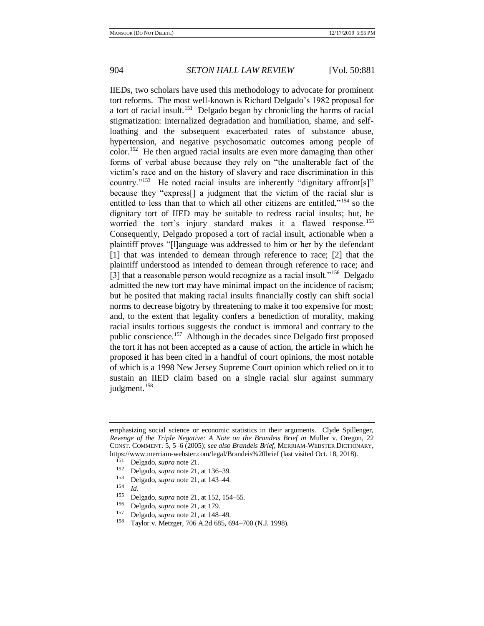IIEDs, two scholars have used this methodology to advocate for prominent tort reforms. The most well-known is Richard Delgado's 1982 proposal for a tort of racial insult.<sup>151</sup> Delgado began by chronicling the harms of racial stigmatization: internalized degradation and humiliation, shame, and selfloathing and the subsequent exacerbated rates of substance abuse, hypertension, and negative psychosomatic outcomes among people of color.<sup>152</sup> He then argued racial insults are even more damaging than other forms of verbal abuse because they rely on "the unalterable fact of the victim's race and on the history of slavery and race discrimination in this country."<sup>153</sup> He noted racial insults are inherently "dignitary affront[s]" because they "express[] a judgment that the victim of the racial slur is entitled to less than that to which all other citizens are entitled,"<sup>154</sup> so the dignitary tort of IIED may be suitable to redress racial insults; but, he worried the tort's injury standard makes it a flawed response.<sup>155</sup> Consequently, Delgado proposed a tort of racial insult, actionable when a plaintiff proves "[l]anguage was addressed to him or her by the defendant [1] that was intended to demean through reference to race; [2] that the plaintiff understood as intended to demean through reference to race; and [3] that a reasonable person would recognize as a racial insult."<sup>156</sup> Delgado admitted the new tort may have minimal impact on the incidence of racism; but he posited that making racial insults financially costly can shift social norms to decrease bigotry by threatening to make it too expensive for most; and, to the extent that legality confers a benediction of morality, making racial insults tortious suggests the conduct is immoral and contrary to the public conscience.<sup>157</sup> Although in the decades since Delgado first proposed the tort it has not been accepted as a cause of action, the article in which he proposed it has been cited in a handful of court opinions, the most notable of which is a 1998 New Jersey Supreme Court opinion which relied on it to sustain an IIED claim based on a single racial slur against summary judgment.<sup>158</sup>

emphasizing social science or economic statistics in their arguments. Clyde Spillenger, *Revenge of the Triple Negative: A Note on the Brandeis Brief in* Muller v. Oregon, 22 CONST. COMMENT. 5, 5–6 (2005); *see also Brandeis Brief*, MERRIAM-WEBSTER DICTIONARY, https://www.merriam-webster.com/legal/Brandeis%20brief (last visited Oct. 18, 2018).

 $^{151}$  Delgado, *supra* not[e 21.](#page-4-0)<br><sup>152</sup> Delgado, *supra* pote 21

<sup>152</sup> Delgado, *supra* not[e 21,](#page-4-0) at 136–39.

<sup>153</sup> Delgado, *supra* not[e 21,](#page-4-0) at 143–44.

 $\frac{154}{155}$  *Id.* 

<sup>155</sup> Delgado, *supra* not[e 21,](#page-4-0) at 152, 154–55.

<sup>&</sup>lt;sup>156</sup> Delgado, *supra* not[e 21,](#page-4-0) at 179.

<sup>&</sup>lt;sup>157</sup> Delgado, *supra* not[e 21,](#page-4-0) at 148–49.<br><sup>158</sup> Taylor v. Metzger, 706, A 2d 685, 6

<sup>158</sup> Taylor v. Metzger, 706 A.2d 685, 694–700 (N.J. 1998).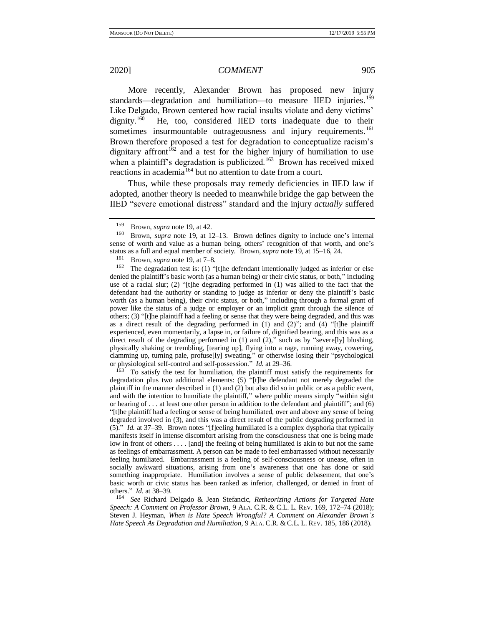More recently, Alexander Brown has proposed new injury standards—degradation and humiliation—to measure IIED injuries.<sup>159</sup> Like Delgado, Brown centered how racial insults violate and deny victims' dignity.<sup>160</sup> He, too, considered IIED torts inadequate due to their sometimes insurmountable outrageousness and injury requirements.<sup>161</sup> Brown therefore proposed a test for degradation to conceptualize racism's dignitary affront<sup>162</sup> and a test for the higher injury of humiliation to use when a plaintiff's degradation is publicized.<sup>163</sup> Brown has received mixed reactions in academia<sup>164</sup> but no attention to date from a court.

Thus, while these proposals may remedy deficiencies in IIED law if adopted, another theory is needed to meanwhile bridge the gap between the IIED "severe emotional distress" standard and the injury *actually* suffered

<sup>163</sup> To satisfy the test for humiliation, the plaintiff must satisfy the requirements for degradation plus two additional elements: (5) "[t]he defendant not merely degraded the plaintiff in the manner described in  $(1)$  and  $(2)$  but also did so in public or as a public event. and with the intention to humiliate the plaintiff," where public means simply "within sight or hearing of . . . at least one other person in addition to the defendant and plaintiff"; and (6) "[t]he plaintiff had a feeling or sense of being humiliated, over and above any sense of being degraded involved in (3), and this was a direct result of the public degrading performed in (5)." *Id.* at 37–39. Brown notes "[f]eeling humiliated is a complex dysphoria that typically manifests itself in intense discomfort arising from the consciousness that one is being made low in front of others . . . . [and] the feeling of being humiliated is akin to but not the same as feelings of embarrassment. A person can be made to feel embarrassed without necessarily feeling humiliated. Embarrassment is a feeling of self-consciousness or unease, often in socially awkward situations, arising from one's awareness that one has done or said something inappropriate. Humiliation involves a sense of public debasement, that one's basic worth or civic status has been ranked as inferior, challenged, or denied in front of others." *Id.* at 38–39.

<sup>164</sup> *See* Richard Delgado & Jean Stefancic, *Retheorizing Actions for Targeted Hate Speech: A Comment on Professor Brown*, 9 ALA. C.R. & C.L. L. REV. 169, 172–74 (2018); Steven J. Heyman, *When is Hate Speech Wrongful? A Comment on Alexander Brown's Hate Speech As Degradation and Humiliation*, 9 ALA. C.R. & C.L. L. REV. 185, 186 (2018).

<sup>&</sup>lt;sup>159</sup> Brown, *supra* not[e 19,](#page-3-0) at 42.<br><sup>160</sup> Brown, *supra* pote 19, at 1<sup>2</sup>

Brown, *supra* note [19,](#page-3-0) at 12–13. Brown defines dignity to include one's internal sense of worth and value as a human being, others' recognition of that worth, and one's status as a full and equal member of society. Brown, *supra* not[e 19,](#page-3-0) at 15–16, 24.

<sup>&</sup>lt;sup>161</sup> Brown, *supra* not[e 19,](#page-3-0) at 7–8.<br><sup>162</sup> The degradation test is: (1) "

The degradation test is: (1) "[t]he defendant intentionally judged as inferior or else denied the plaintiff's basic worth (as a human being) or their civic status, or both," including use of a racial slur; (2) "[t]he degrading performed in (1) was allied to the fact that the defendant had the authority or standing to judge as inferior or deny the plaintiff's basic worth (as a human being), their civic status, or both," including through a formal grant of power like the status of a judge or employer or an implicit grant through the silence of others; (3) "[t]he plaintiff had a feeling or sense that they were being degraded, and this was as a direct result of the degrading performed in (1) and (2)"; and (4) "[t]he plaintiff experienced, even momentarily, a lapse in, or failure of, dignified bearing, and this was as a direct result of the degrading performed in  $(1)$  and  $(2)$ ," such as by "severe[ly] blushing, physically shaking or trembling, [tearing up], flying into a rage, running away, cowering, clamming up, turning pale, profuse[ly] sweating," or otherwise losing their "psychological or physiological self-control and self-possession." *Id.* at 29–36.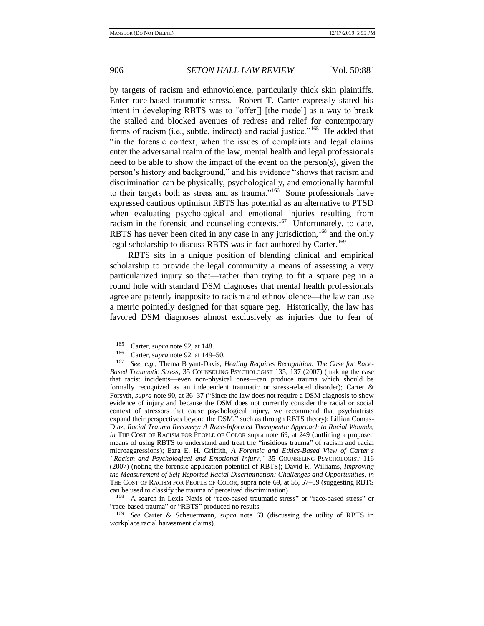by targets of racism and ethnoviolence, particularly thick skin plaintiffs. Enter race-based traumatic stress. Robert T. Carter expressly stated his intent in developing RBTS was to "offer[] [the model] as a way to break the stalled and blocked avenues of redress and relief for contemporary forms of racism (i.e., subtle, indirect) and racial justice."<sup>165</sup> He added that "in the forensic context, when the issues of complaints and legal claims enter the adversarial realm of the law, mental health and legal professionals need to be able to show the impact of the event on the person(s), given the person's history and background," and his evidence "shows that racism and discrimination can be physically, psychologically, and emotionally harmful to their targets both as stress and as trauma."<sup>166</sup> Some professionals have expressed cautious optimism RBTS has potential as an alternative to PTSD when evaluating psychological and emotional injuries resulting from racism in the forensic and counseling contexts.<sup>167</sup> Unfortunately, to date, RBTS has never been cited in any case in any jurisdiction,  $168$  and the only legal scholarship to discuss RBTS was in fact authored by Carter.<sup>169</sup>

RBTS sits in a unique position of blending clinical and empirical scholarship to provide the legal community a means of assessing a very particularized injury so that—rather than trying to fit a square peg in a round hole with standard DSM diagnoses that mental health professionals agree are patently inapposite to racism and ethnoviolence—the law can use a metric pointedly designed for that square peg. Historically, the law has favored DSM diagnoses almost exclusively as injuries due to fear of

<sup>168</sup> A search in Lexis Nexis of "race-based traumatic stress" or "race-based stress" or "race-based trauma" or "RBTS" produced no results.

<sup>&</sup>lt;sup>165</sup> Carter, *supra* not[e 92,](#page-15-0) at 148.

<sup>166</sup> Carter, *supra* not[e 92,](#page-15-0) at 149–50.

<sup>167</sup> *See, e.g.*, Thema Bryant-Davis, *Healing Requires Recognition: The Case for Race-Based Traumatic Stress*, 35 COUNSELING PSYCHOLOGIST 135, 137 (2007) (making the case that racist incidents—even non-physical ones—can produce trauma which should be formally recognized as an independent traumatic or stress-related disorder); Carter & Forsyth, *supra* not[e 90,](#page-14-0) at 36–37 ("Since the law does not require a DSM diagnosis to show evidence of injury and because the DSM does not currently consider the racial or social context of stressors that cause psychological injury, we recommend that psychiatrists expand their perspectives beyond the DSM," such as through RBTS theory); Lillian Comas-Díaz, *Racial Trauma Recovery: A Race-Informed Therapeutic Approach to Racial Wounds, in* THE COST OF RACISM FOR PEOPLE OF COLOR supra note [69,](#page-11-4) at 249 (outlining a proposed means of using RBTS to understand and treat the "insidious trauma" of racism and racial microaggressions); Ezra E. H. Griffith, *A Forensic and Ethics-Based View of Carter's "Racism and Psychological and Emotional Injury*,*"* 35 COUNSELING PSYCHOLOGIST 116 (2007) (noting the forensic application potential of RBTS); David R. Williams, *Improving the Measurement of Self-Reported Racial Discrimination: Challenges and Opportunities*, *in*  THE COST OF RACISM FOR PEOPLE OF COLOR, supra note [69,](#page-11-4) at 55, 57–59 (suggesting RBTS can be used to classify the trauma of perceived discrimination).

<sup>169</sup> *See* Carter & Scheuermann, *supra* note [63](#page-10-0) (discussing the utility of RBTS in workplace racial harassment claims).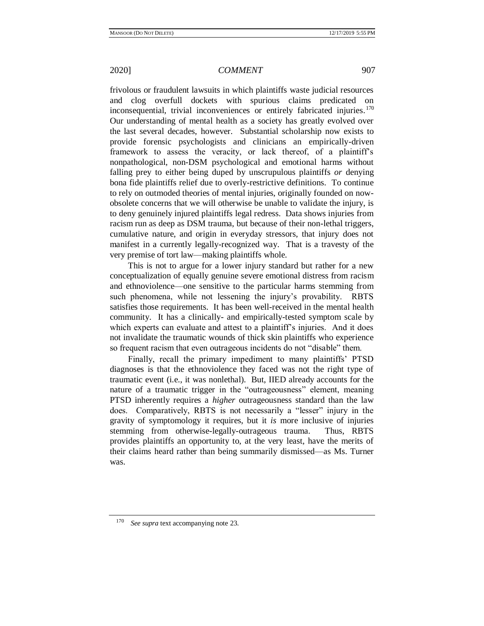frivolous or fraudulent lawsuits in which plaintiffs waste judicial resources and clog overfull dockets with spurious claims predicated on inconsequential, trivial inconveniences or entirely fabricated injuries.<sup>170</sup> Our understanding of mental health as a society has greatly evolved over the last several decades, however. Substantial scholarship now exists to provide forensic psychologists and clinicians an empirically-driven framework to assess the veracity, or lack thereof, of a plaintiff's nonpathological, non-DSM psychological and emotional harms without falling prey to either being duped by unscrupulous plaintiffs *or* denying bona fide plaintiffs relief due to overly-restrictive definitions. To continue to rely on outmoded theories of mental injuries, originally founded on nowobsolete concerns that we will otherwise be unable to validate the injury, is to deny genuinely injured plaintiffs legal redress. Data shows injuries from racism run as deep as DSM trauma, but because of their non-lethal triggers, cumulative nature, and origin in everyday stressors, that injury does not manifest in a currently legally-recognized way. That is a travesty of the very premise of tort law—making plaintiffs whole.

This is not to argue for a lower injury standard but rather for a new conceptualization of equally genuine severe emotional distress from racism and ethnoviolence—one sensitive to the particular harms stemming from such phenomena, while not lessening the injury's provability. RBTS satisfies those requirements. It has been well-received in the mental health community. It has a clinically- and empirically-tested symptom scale by which experts can evaluate and attest to a plaintiff's injuries. And it does not invalidate the traumatic wounds of thick skin plaintiffs who experience so frequent racism that even outrageous incidents do not "disable" them.

Finally, recall the primary impediment to many plaintiffs' PTSD diagnoses is that the ethnoviolence they faced was not the right type of traumatic event (i.e., it was nonlethal). But, IIED already accounts for the nature of a traumatic trigger in the "outrageousness" element, meaning PTSD inherently requires a *higher* outrageousness standard than the law does. Comparatively, RBTS is not necessarily a "lesser" injury in the gravity of symptomology it requires, but it *is* more inclusive of injuries stemming from otherwise-legally-outrageous trauma. Thus, RBTS provides plaintiffs an opportunity to, at the very least, have the merits of their claims heard rather than being summarily dismissed—as Ms. Turner was.

<sup>170</sup> *See supra* text accompanying note [23.](#page-4-1)